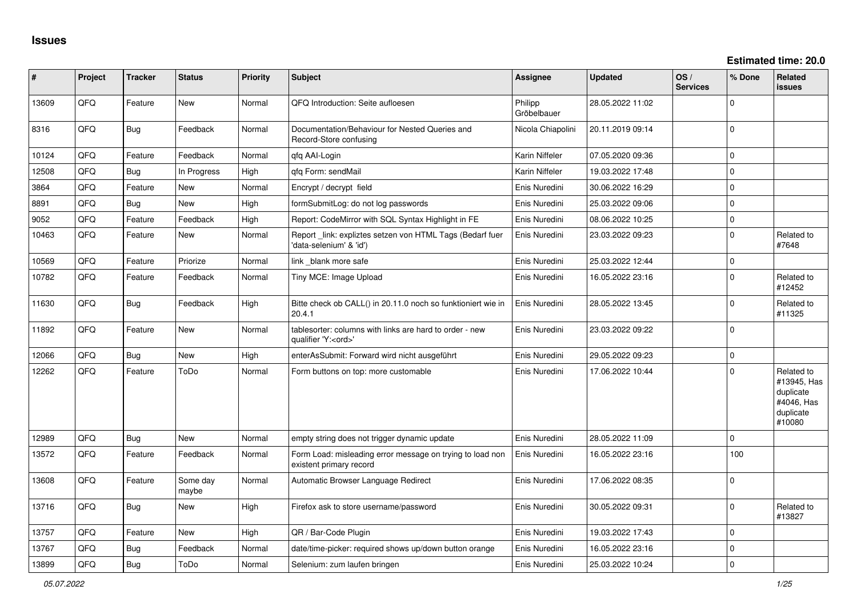| #     | Project | <b>Tracker</b> | <b>Status</b>     | <b>Priority</b> | <b>Subject</b>                                                                        | <b>Assignee</b>        | <b>Updated</b>   | OS/<br><b>Services</b> | % Done       | Related<br>issues                                                           |
|-------|---------|----------------|-------------------|-----------------|---------------------------------------------------------------------------------------|------------------------|------------------|------------------------|--------------|-----------------------------------------------------------------------------|
| 13609 | QFQ     | Feature        | New               | Normal          | QFQ Introduction: Seite aufloesen                                                     | Philipp<br>Gröbelbauer | 28.05.2022 11:02 |                        | <sup>0</sup> |                                                                             |
| 8316  | QFQ     | Bug            | Feedback          | Normal          | Documentation/Behaviour for Nested Queries and<br>Record-Store confusing              | Nicola Chiapolini      | 20.11.2019 09:14 |                        | $\Omega$     |                                                                             |
| 10124 | QFQ     | Feature        | Feedback          | Normal          | qfq AAI-Login                                                                         | Karin Niffeler         | 07.05.2020 09:36 |                        | $\Omega$     |                                                                             |
| 12508 | QFQ     | <b>Bug</b>     | In Progress       | High            | qfq Form: sendMail                                                                    | Karin Niffeler         | 19.03.2022 17:48 |                        | $\mathbf 0$  |                                                                             |
| 3864  | QFQ     | Feature        | New               | Normal          | Encrypt / decrypt field                                                               | Enis Nuredini          | 30.06.2022 16:29 |                        | $\Omega$     |                                                                             |
| 8891  | QFQ     | <b>Bug</b>     | <b>New</b>        | High            | formSubmitLog: do not log passwords                                                   | Enis Nuredini          | 25.03.2022 09:06 |                        | $\Omega$     |                                                                             |
| 9052  | QFQ     | Feature        | Feedback          | High            | Report: CodeMirror with SQL Syntax Highlight in FE                                    | Enis Nuredini          | 08.06.2022 10:25 |                        | $\Omega$     |                                                                             |
| 10463 | QFQ     | Feature        | <b>New</b>        | Normal          | Report link: expliztes setzen von HTML Tags (Bedarf fuer<br>'data-selenium' & 'id')   | Enis Nuredini          | 23.03.2022 09:23 |                        | $\mathbf 0$  | Related to<br>#7648                                                         |
| 10569 | QFQ     | Feature        | Priorize          | Normal          | link _blank more safe                                                                 | Enis Nuredini          | 25.03.2022 12:44 |                        | $\mathbf 0$  |                                                                             |
| 10782 | QFQ     | Feature        | Feedback          | Normal          | Tiny MCE: Image Upload                                                                | Enis Nuredini          | 16.05.2022 23:16 |                        | $\Omega$     | Related to<br>#12452                                                        |
| 11630 | QFQ     | Bug            | Feedback          | High            | Bitte check ob CALL() in 20.11.0 noch so funktioniert wie in<br>20.4.1                | Enis Nuredini          | 28.05.2022 13:45 |                        | $\Omega$     | Related to<br>#11325                                                        |
| 11892 | QFQ     | Feature        | <b>New</b>        | Normal          | tablesorter: columns with links are hard to order - new<br>qualifier 'Y: <ord>'</ord> | Enis Nuredini          | 23.03.2022 09:22 |                        | $\Omega$     |                                                                             |
| 12066 | QFQ     | Bug            | <b>New</b>        | High            | enterAsSubmit: Forward wird nicht ausgeführt                                          | Enis Nuredini          | 29.05.2022 09:23 |                        | $\Omega$     |                                                                             |
| 12262 | QFQ     | Feature        | ToDo              | Normal          | Form buttons on top: more customable                                                  | Enis Nuredini          | 17.06.2022 10:44 |                        | 0            | Related to<br>#13945, Has<br>duplicate<br>#4046, Has<br>duplicate<br>#10080 |
| 12989 | QFQ     | <b>Bug</b>     | <b>New</b>        | Normal          | empty string does not trigger dynamic update                                          | Enis Nuredini          | 28.05.2022 11:09 |                        | $\Omega$     |                                                                             |
| 13572 | QFQ     | Feature        | Feedback          | Normal          | Form Load: misleading error message on trying to load non<br>existent primary record  | Enis Nuredini          | 16.05.2022 23:16 |                        | 100          |                                                                             |
| 13608 | QFQ     | Feature        | Some day<br>maybe | Normal          | Automatic Browser Language Redirect                                                   | Enis Nuredini          | 17.06.2022 08:35 |                        | $\Omega$     |                                                                             |
| 13716 | QFQ     | Bug            | New               | High            | Firefox ask to store username/password                                                | Enis Nuredini          | 30.05.2022 09:31 |                        | $\Omega$     | Related to<br>#13827                                                        |
| 13757 | QFQ     | Feature        | <b>New</b>        | High            | QR / Bar-Code Plugin                                                                  | Enis Nuredini          | 19.03.2022 17:43 |                        | $\Omega$     |                                                                             |
| 13767 | QFQ     | <b>Bug</b>     | Feedback          | Normal          | date/time-picker: required shows up/down button orange                                | Enis Nuredini          | 16.05.2022 23:16 |                        | $\Omega$     |                                                                             |
| 13899 | QFQ     | <b>Bug</b>     | ToDo              | Normal          | Selenium: zum laufen bringen                                                          | Enis Nuredini          | 25.03.2022 10:24 |                        | $\Omega$     |                                                                             |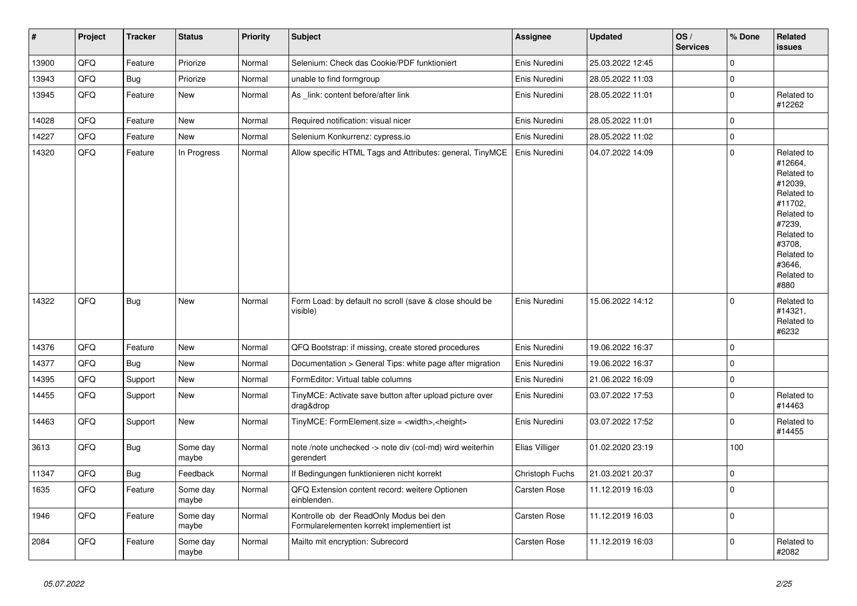| $\vert$ # | Project | <b>Tracker</b> | <b>Status</b>     | <b>Priority</b> | <b>Subject</b>                                                                         | Assignee            | <b>Updated</b>   | OS/<br><b>Services</b> | % Done      | Related<br>issues                                                                                                                                                     |
|-----------|---------|----------------|-------------------|-----------------|----------------------------------------------------------------------------------------|---------------------|------------------|------------------------|-------------|-----------------------------------------------------------------------------------------------------------------------------------------------------------------------|
| 13900     | QFQ     | Feature        | Priorize          | Normal          | Selenium: Check das Cookie/PDF funktioniert                                            | Enis Nuredini       | 25.03.2022 12:45 |                        | $\mathbf 0$ |                                                                                                                                                                       |
| 13943     | QFQ     | Bug            | Priorize          | Normal          | unable to find formgroup                                                               | Enis Nuredini       | 28.05.2022 11:03 |                        | $\mathbf 0$ |                                                                                                                                                                       |
| 13945     | QFQ     | Feature        | <b>New</b>        | Normal          | As link: content before/after link                                                     | Enis Nuredini       | 28.05.2022 11:01 |                        | $\mathbf 0$ | Related to<br>#12262                                                                                                                                                  |
| 14028     | QFQ     | Feature        | <b>New</b>        | Normal          | Required notification: visual nicer                                                    | Enis Nuredini       | 28.05.2022 11:01 |                        | $\mathbf 0$ |                                                                                                                                                                       |
| 14227     | QFQ     | Feature        | <b>New</b>        | Normal          | Selenium Konkurrenz: cypress.io                                                        | Enis Nuredini       | 28.05.2022 11:02 |                        | $\mathbf 0$ |                                                                                                                                                                       |
| 14320     | QFQ     | Feature        | In Progress       | Normal          | Allow specific HTML Tags and Attributes: general, TinyMCE                              | Enis Nuredini       | 04.07.2022 14:09 |                        | $\mathbf 0$ | Related to<br>#12664,<br>Related to<br>#12039,<br>Related to<br>#11702.<br>Related to<br>#7239,<br>Related to<br>#3708,<br>Related to<br>#3646,<br>Related to<br>#880 |
| 14322     | QFQ     | Bug            | New               | Normal          | Form Load: by default no scroll (save & close should be<br>visible)                    | Enis Nuredini       | 15.06.2022 14:12 |                        | $\mathbf 0$ | Related to<br>#14321,<br>Related to<br>#6232                                                                                                                          |
| 14376     | QFQ     | Feature        | <b>New</b>        | Normal          | QFQ Bootstrap: if missing, create stored procedures                                    | Enis Nuredini       | 19.06.2022 16:37 |                        | $\mathbf 0$ |                                                                                                                                                                       |
| 14377     | QFQ     | Bug            | <b>New</b>        | Normal          | Documentation > General Tips: white page after migration                               | Enis Nuredini       | 19.06.2022 16:37 |                        | $\mathbf 0$ |                                                                                                                                                                       |
| 14395     | QFQ     | Support        | <b>New</b>        | Normal          | FormEditor: Virtual table columns                                                      | Enis Nuredini       | 21.06.2022 16:09 |                        | $\mathbf 0$ |                                                                                                                                                                       |
| 14455     | QFQ     | Support        | <b>New</b>        | Normal          | TinyMCE: Activate save button after upload picture over<br>drag&drop                   | Enis Nuredini       | 03.07.2022 17:53 |                        | $\mathbf 0$ | Related to<br>#14463                                                                                                                                                  |
| 14463     | QFQ     | Support        | New               | Normal          | TinyMCE: FormElement.size = <width>,<height></height></width>                          | Enis Nuredini       | 03.07.2022 17:52 |                        | $\mathbf 0$ | Related to<br>#14455                                                                                                                                                  |
| 3613      | QFQ     | <b>Bug</b>     | Some day<br>maybe | Normal          | note /note unchecked -> note div (col-md) wird weiterhin<br>gerendert                  | Elias Villiger      | 01.02.2020 23:19 |                        | 100         |                                                                                                                                                                       |
| 11347     | QFQ     | <b>Bug</b>     | Feedback          | Normal          | If Bedingungen funktionieren nicht korrekt                                             | Christoph Fuchs     | 21.03.2021 20:37 |                        | $\pmb{0}$   |                                                                                                                                                                       |
| 1635      | QFQ     | Feature        | Some day<br>maybe | Normal          | QFQ Extension content record: weitere Optionen<br>einblenden.                          | Carsten Rose        | 11.12.2019 16:03 |                        | $\Omega$    |                                                                                                                                                                       |
| 1946      | QFQ     | Feature        | Some day<br>maybe | Normal          | Kontrolle ob der ReadOnly Modus bei den<br>Formularelementen korrekt implementiert ist | <b>Carsten Rose</b> | 11.12.2019 16:03 |                        | $\mathbf 0$ |                                                                                                                                                                       |
| 2084      | QFQ     | Feature        | Some day<br>maybe | Normal          | Mailto mit encryption: Subrecord                                                       | Carsten Rose        | 11.12.2019 16:03 |                        | $\mathbf 0$ | Related to<br>#2082                                                                                                                                                   |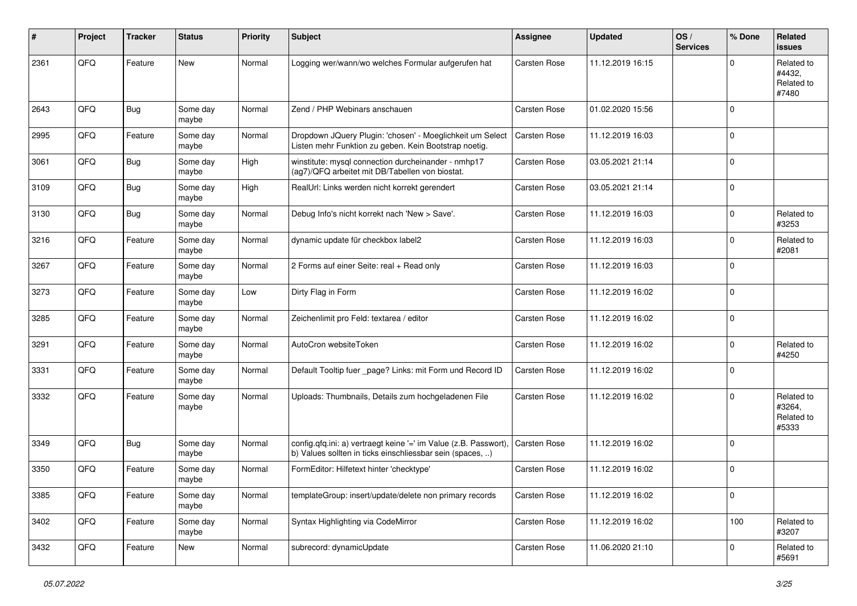| #    | Project | <b>Tracker</b> | <b>Status</b>     | <b>Priority</b> | <b>Subject</b>                                                                                                                | <b>Assignee</b>     | <b>Updated</b>   | OS/<br><b>Services</b> | % Done      | Related<br>issues                           |
|------|---------|----------------|-------------------|-----------------|-------------------------------------------------------------------------------------------------------------------------------|---------------------|------------------|------------------------|-------------|---------------------------------------------|
| 2361 | QFQ     | Feature        | <b>New</b>        | Normal          | Logging wer/wann/wo welches Formular aufgerufen hat                                                                           | Carsten Rose        | 11.12.2019 16:15 |                        | $\Omega$    | Related to<br>#4432,<br>Related to<br>#7480 |
| 2643 | QFQ     | <b>Bug</b>     | Some day<br>maybe | Normal          | Zend / PHP Webinars anschauen                                                                                                 | Carsten Rose        | 01.02.2020 15:56 |                        | $\mathbf 0$ |                                             |
| 2995 | QFQ     | Feature        | Some day<br>maybe | Normal          | Dropdown JQuery Plugin: 'chosen' - Moeglichkeit um Select<br>Listen mehr Funktion zu geben. Kein Bootstrap noetig.            | Carsten Rose        | 11.12.2019 16:03 |                        | $\mathbf 0$ |                                             |
| 3061 | QFQ     | Bug            | Some day<br>maybe | High            | winstitute: mysql connection durcheinander - nmhp17<br>(ag7)/QFQ arbeitet mit DB/Tabellen von biostat.                        | <b>Carsten Rose</b> | 03.05.2021 21:14 |                        | $\mathbf 0$ |                                             |
| 3109 | QFQ     | Bug            | Some day<br>maybe | High            | RealUrl: Links werden nicht korrekt gerendert                                                                                 | Carsten Rose        | 03.05.2021 21:14 |                        | $\mathbf 0$ |                                             |
| 3130 | QFQ     | <b>Bug</b>     | Some day<br>maybe | Normal          | Debug Info's nicht korrekt nach 'New > Save'.                                                                                 | <b>Carsten Rose</b> | 11.12.2019 16:03 |                        | $\mathbf 0$ | Related to<br>#3253                         |
| 3216 | QFQ     | Feature        | Some day<br>maybe | Normal          | dynamic update für checkbox label2                                                                                            | Carsten Rose        | 11.12.2019 16:03 |                        | $\mathbf 0$ | Related to<br>#2081                         |
| 3267 | QFQ     | Feature        | Some day<br>maybe | Normal          | 2 Forms auf einer Seite: real + Read only                                                                                     | Carsten Rose        | 11.12.2019 16:03 |                        | $\mathbf 0$ |                                             |
| 3273 | QFQ     | Feature        | Some day<br>maybe | Low             | Dirty Flag in Form                                                                                                            | Carsten Rose        | 11.12.2019 16:02 |                        | $\mathbf 0$ |                                             |
| 3285 | QFQ     | Feature        | Some day<br>maybe | Normal          | Zeichenlimit pro Feld: textarea / editor                                                                                      | <b>Carsten Rose</b> | 11.12.2019 16:02 |                        | $\mathbf 0$ |                                             |
| 3291 | QFQ     | Feature        | Some day<br>maybe | Normal          | AutoCron websiteToken                                                                                                         | <b>Carsten Rose</b> | 11.12.2019 16:02 |                        | $\mathbf 0$ | Related to<br>#4250                         |
| 3331 | QFQ     | Feature        | Some day<br>maybe | Normal          | Default Tooltip fuer _page? Links: mit Form und Record ID                                                                     | Carsten Rose        | 11.12.2019 16:02 |                        | $\mathbf 0$ |                                             |
| 3332 | QFQ     | Feature        | Some day<br>maybe | Normal          | Uploads: Thumbnails, Details zum hochgeladenen File                                                                           | Carsten Rose        | 11.12.2019 16:02 |                        | $\mathbf 0$ | Related to<br>#3264,<br>Related to<br>#5333 |
| 3349 | QFQ     | <b>Bug</b>     | Some day<br>maybe | Normal          | config.qfq.ini: a) vertraegt keine '=' im Value (z.B. Passwort),<br>b) Values sollten in ticks einschliessbar sein (spaces, ) | <b>Carsten Rose</b> | 11.12.2019 16:02 |                        | $\mathbf 0$ |                                             |
| 3350 | QFQ     | Feature        | Some day<br>maybe | Normal          | FormEditor: Hilfetext hinter 'checktype'                                                                                      | Carsten Rose        | 11.12.2019 16:02 |                        | $\mathbf 0$ |                                             |
| 3385 | QFQ     | Feature        | Some day<br>maybe | Normal          | templateGroup: insert/update/delete non primary records                                                                       | Carsten Rose        | 11.12.2019 16:02 |                        | $\mathbf 0$ |                                             |
| 3402 | QFQ     | Feature        | Some day<br>maybe | Normal          | Syntax Highlighting via CodeMirror                                                                                            | Carsten Rose        | 11.12.2019 16:02 |                        | 100         | Related to<br>#3207                         |
| 3432 | QFQ     | Feature        | New               | Normal          | subrecord: dynamicUpdate                                                                                                      | Carsten Rose        | 11.06.2020 21:10 |                        | $\mathbf 0$ | Related to<br>#5691                         |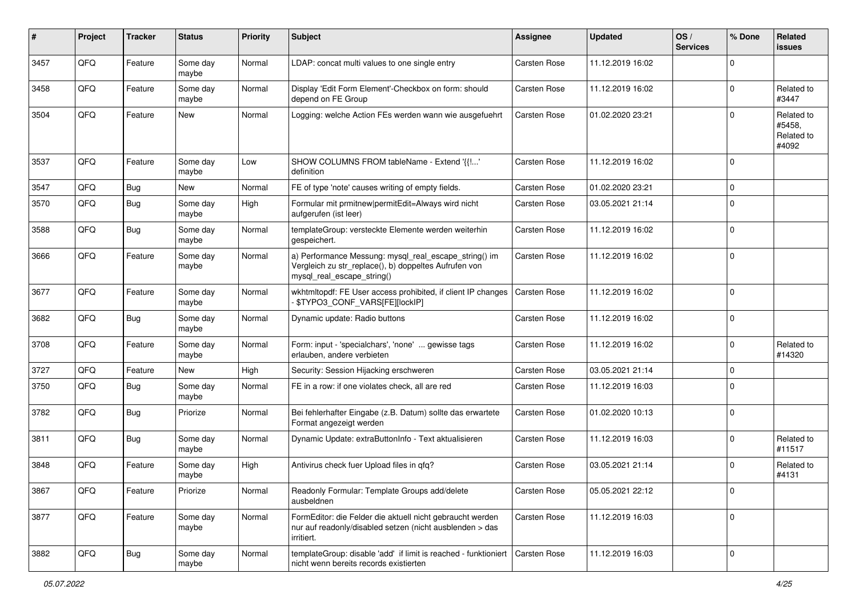| $\vert$ # | Project | <b>Tracker</b> | <b>Status</b>     | <b>Priority</b> | <b>Subject</b>                                                                                                                               | Assignee            | <b>Updated</b>   | OS/<br><b>Services</b> | % Done         | <b>Related</b><br><b>issues</b>             |
|-----------|---------|----------------|-------------------|-----------------|----------------------------------------------------------------------------------------------------------------------------------------------|---------------------|------------------|------------------------|----------------|---------------------------------------------|
| 3457      | QFQ     | Feature        | Some day<br>maybe | Normal          | LDAP: concat multi values to one single entry                                                                                                | Carsten Rose        | 11.12.2019 16:02 |                        | $\mathbf 0$    |                                             |
| 3458      | QFQ     | Feature        | Some day<br>maybe | Normal          | Display 'Edit Form Element'-Checkbox on form: should<br>depend on FE Group                                                                   | <b>Carsten Rose</b> | 11.12.2019 16:02 |                        | $\overline{0}$ | Related to<br>#3447                         |
| 3504      | QFQ     | Feature        | New               | Normal          | Logging: welche Action FEs werden wann wie ausgefuehrt                                                                                       | Carsten Rose        | 01.02.2020 23:21 |                        | $\Omega$       | Related to<br>#5458,<br>Related to<br>#4092 |
| 3537      | QFQ     | Feature        | Some day<br>maybe | Low             | SHOW COLUMNS FROM tableName - Extend '{{!'<br>definition                                                                                     | Carsten Rose        | 11.12.2019 16:02 |                        | $\mathbf 0$    |                                             |
| 3547      | QFQ     | <b>Bug</b>     | New               | Normal          | FE of type 'note' causes writing of empty fields.                                                                                            | Carsten Rose        | 01.02.2020 23:21 |                        | $\mathbf 0$    |                                             |
| 3570      | QFQ     | <b>Bug</b>     | Some day<br>maybe | High            | Formular mit prmitnew permitEdit=Always wird nicht<br>aufgerufen (ist leer)                                                                  | Carsten Rose        | 03.05.2021 21:14 |                        | $\Omega$       |                                             |
| 3588      | QFQ     | <b>Bug</b>     | Some day<br>maybe | Normal          | templateGroup: versteckte Elemente werden weiterhin<br>gespeichert.                                                                          | Carsten Rose        | 11.12.2019 16:02 |                        | $\mathbf 0$    |                                             |
| 3666      | QFQ     | Feature        | Some day<br>maybe | Normal          | a) Performance Messung: mysql_real_escape_string() im<br>Vergleich zu str_replace(), b) doppeltes Aufrufen von<br>mysql_real_escape_string() | Carsten Rose        | 11.12.2019 16:02 |                        | $\mathbf 0$    |                                             |
| 3677      | QFQ     | Feature        | Some day<br>maybe | Normal          | wkhtmltopdf: FE User access prohibited, if client IP changes<br>\$TYPO3_CONF_VARS[FE][lockIP]                                                | Carsten Rose        | 11.12.2019 16:02 |                        | $\mathbf 0$    |                                             |
| 3682      | QFQ     | Bug            | Some day<br>maybe | Normal          | Dynamic update: Radio buttons                                                                                                                | Carsten Rose        | 11.12.2019 16:02 |                        | $\mathbf 0$    |                                             |
| 3708      | QFQ     | Feature        | Some day<br>maybe | Normal          | Form: input - 'specialchars', 'none'  gewisse tags<br>erlauben, andere verbieten                                                             | Carsten Rose        | 11.12.2019 16:02 |                        | $\mathbf 0$    | Related to<br>#14320                        |
| 3727      | QFQ     | Feature        | New               | High            | Security: Session Hijacking erschweren                                                                                                       | Carsten Rose        | 03.05.2021 21:14 |                        | $\mathbf 0$    |                                             |
| 3750      | QFQ     | <b>Bug</b>     | Some day<br>maybe | Normal          | FE in a row: if one violates check, all are red                                                                                              | Carsten Rose        | 11.12.2019 16:03 |                        | $\mathbf 0$    |                                             |
| 3782      | QFQ     | Bug            | Priorize          | Normal          | Bei fehlerhafter Eingabe (z.B. Datum) sollte das erwartete<br>Format angezeigt werden                                                        | Carsten Rose        | 01.02.2020 10:13 |                        | $\mathbf 0$    |                                             |
| 3811      | QFQ     | <b>Bug</b>     | Some day<br>maybe | Normal          | Dynamic Update: extraButtonInfo - Text aktualisieren                                                                                         | Carsten Rose        | 11.12.2019 16:03 |                        | $\Omega$       | Related to<br>#11517                        |
| 3848      | QFQ     | Feature        | Some day<br>maybe | High            | Antivirus check fuer Upload files in gfg?                                                                                                    | Carsten Rose        | 03.05.2021 21:14 |                        | $\mathbf 0$    | Related to<br>#4131                         |
| 3867      | QFQ     | Feature        | Priorize          | Normal          | Readonly Formular: Template Groups add/delete<br>ausbeldnen                                                                                  | Carsten Rose        | 05.05.2021 22:12 |                        | $\overline{0}$ |                                             |
| 3877      | QFO     | Feature        | Some day<br>maybe | Normal          | FormEditor: die Felder die aktuell nicht gebraucht werden<br>nur auf readonly/disabled setzen (nicht ausblenden > das<br>irritiert.          | Carsten Rose        | 11.12.2019 16:03 |                        | $\overline{0}$ |                                             |
| 3882      | QFO     | <b>Bug</b>     | Some day<br>maybe | Normal          | templateGroup: disable 'add' if limit is reached - funktioniert<br>nicht wenn bereits records existierten                                    | Carsten Rose        | 11.12.2019 16:03 |                        | $\overline{0}$ |                                             |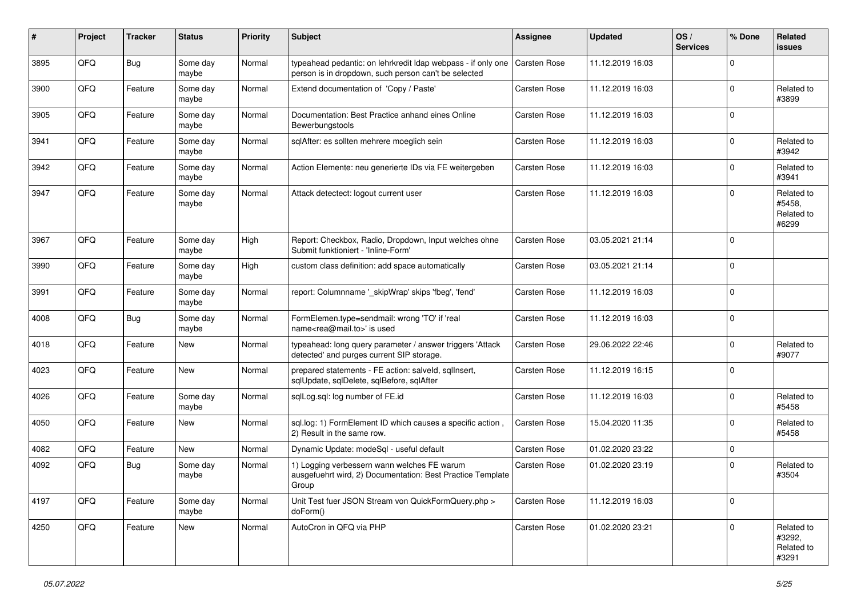| #    | Project | <b>Tracker</b> | <b>Status</b>     | <b>Priority</b> | <b>Subject</b>                                                                                                       | Assignee            | <b>Updated</b>   | OS/<br><b>Services</b> | % Done      | Related<br><b>issues</b>                    |
|------|---------|----------------|-------------------|-----------------|----------------------------------------------------------------------------------------------------------------------|---------------------|------------------|------------------------|-------------|---------------------------------------------|
| 3895 | QFQ     | Bug            | Some day<br>maybe | Normal          | typeahead pedantic: on lehrkredit Idap webpass - if only one<br>person is in dropdown, such person can't be selected | Carsten Rose        | 11.12.2019 16:03 |                        | $\Omega$    |                                             |
| 3900 | QFQ     | Feature        | Some day<br>maybe | Normal          | Extend documentation of 'Copy / Paste'                                                                               | Carsten Rose        | 11.12.2019 16:03 |                        | $\mathbf 0$ | Related to<br>#3899                         |
| 3905 | QFQ     | Feature        | Some day<br>maybe | Normal          | Documentation: Best Practice anhand eines Online<br>Bewerbungstools                                                  | Carsten Rose        | 11.12.2019 16:03 |                        | $\Omega$    |                                             |
| 3941 | QFQ     | Feature        | Some day<br>maybe | Normal          | sglAfter: es sollten mehrere moeglich sein                                                                           | Carsten Rose        | 11.12.2019 16:03 |                        | 0           | Related to<br>#3942                         |
| 3942 | QFQ     | Feature        | Some day<br>maybe | Normal          | Action Elemente: neu generierte IDs via FE weitergeben                                                               | Carsten Rose        | 11.12.2019 16:03 |                        | $\mathbf 0$ | Related to<br>#3941                         |
| 3947 | QFQ     | Feature        | Some day<br>maybe | Normal          | Attack detectect: logout current user                                                                                | Carsten Rose        | 11.12.2019 16:03 |                        | $\mathbf 0$ | Related to<br>#5458.<br>Related to<br>#6299 |
| 3967 | QFQ     | Feature        | Some day<br>maybe | High            | Report: Checkbox, Radio, Dropdown, Input welches ohne<br>Submit funktioniert - 'Inline-Form'                         | Carsten Rose        | 03.05.2021 21:14 |                        | $\mathbf 0$ |                                             |
| 3990 | QFQ     | Feature        | Some day<br>maybe | High            | custom class definition: add space automatically                                                                     | Carsten Rose        | 03.05.2021 21:14 |                        | $\mathbf 0$ |                                             |
| 3991 | QFQ     | Feature        | Some day<br>maybe | Normal          | report: Columnname '_skipWrap' skips 'fbeg', 'fend'                                                                  | <b>Carsten Rose</b> | 11.12.2019 16:03 |                        | $\mathbf 0$ |                                             |
| 4008 | QFQ     | Bug            | Some day<br>maybe | Normal          | FormElemen.type=sendmail: wrong 'TO' if 'real<br>name <rea@mail.to>' is used</rea@mail.to>                           | <b>Carsten Rose</b> | 11.12.2019 16:03 |                        | $\mathbf 0$ |                                             |
| 4018 | QFQ     | Feature        | New               | Normal          | typeahead: long query parameter / answer triggers 'Attack<br>detected' and purges current SIP storage.               | <b>Carsten Rose</b> | 29.06.2022 22:46 |                        | $\mathbf 0$ | Related to<br>#9077                         |
| 4023 | QFQ     | Feature        | New               | Normal          | prepared statements - FE action: salveld, sqlInsert,<br>sqlUpdate, sqlDelete, sqlBefore, sqlAfter                    | Carsten Rose        | 11.12.2019 16:15 |                        | $\mathbf 0$ |                                             |
| 4026 | QFQ     | Feature        | Some day<br>maybe | Normal          | sqlLog.sql: log number of FE.id                                                                                      | Carsten Rose        | 11.12.2019 16:03 |                        | $\mathbf 0$ | Related to<br>#5458                         |
| 4050 | QFQ     | Feature        | <b>New</b>        | Normal          | sql.log: 1) FormElement ID which causes a specific action<br>2) Result in the same row.                              | Carsten Rose        | 15.04.2020 11:35 |                        | $\mathbf 0$ | Related to<br>#5458                         |
| 4082 | QFQ     | Feature        | New               | Normal          | Dynamic Update: modeSql - useful default                                                                             | Carsten Rose        | 01.02.2020 23:22 |                        | $\mathbf 0$ |                                             |
| 4092 | QFQ     | Bug            | Some day<br>maybe | Normal          | 1) Logging verbessern wann welches FE warum<br>ausgefuehrt wird, 2) Documentation: Best Practice Template<br>Group   | Carsten Rose        | 01.02.2020 23:19 |                        | $\mathbf 0$ | Related to<br>#3504                         |
| 4197 | QFQ     | Feature        | Some day<br>maybe | Normal          | Unit Test fuer JSON Stream von QuickFormQuery.php ><br>doForm()                                                      | <b>Carsten Rose</b> | 11.12.2019 16:03 |                        | $\mathbf 0$ |                                             |
| 4250 | QFQ     | Feature        | <b>New</b>        | Normal          | AutoCron in QFQ via PHP                                                                                              | Carsten Rose        | 01.02.2020 23:21 |                        | $\mathbf 0$ | Related to<br>#3292,<br>Related to<br>#3291 |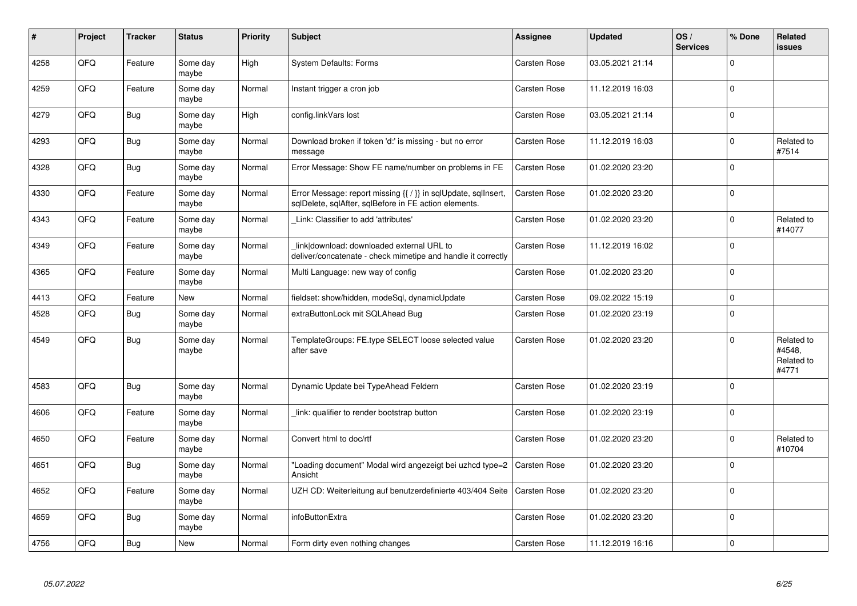| ∦    | Project | <b>Tracker</b> | <b>Status</b>     | <b>Priority</b> | <b>Subject</b>                                                                                                          | <b>Assignee</b>     | <b>Updated</b>   | OS/<br><b>Services</b> | % Done      | <b>Related</b><br><b>issues</b>             |
|------|---------|----------------|-------------------|-----------------|-------------------------------------------------------------------------------------------------------------------------|---------------------|------------------|------------------------|-------------|---------------------------------------------|
| 4258 | QFQ     | Feature        | Some day<br>maybe | High            | <b>System Defaults: Forms</b>                                                                                           | <b>Carsten Rose</b> | 03.05.2021 21:14 |                        | $\mathbf 0$ |                                             |
| 4259 | QFQ     | Feature        | Some day<br>maybe | Normal          | Instant trigger a cron job                                                                                              | Carsten Rose        | 11.12.2019 16:03 |                        | $\Omega$    |                                             |
| 4279 | QFQ     | Bug            | Some day<br>maybe | High            | config.linkVars lost                                                                                                    | Carsten Rose        | 03.05.2021 21:14 |                        | $\mathbf 0$ |                                             |
| 4293 | QFQ     | <b>Bug</b>     | Some day<br>maybe | Normal          | Download broken if token 'd:' is missing - but no error<br>message                                                      | <b>Carsten Rose</b> | 11.12.2019 16:03 |                        | $\mathbf 0$ | Related to<br>#7514                         |
| 4328 | QFQ     | <b>Bug</b>     | Some day<br>maybe | Normal          | Error Message: Show FE name/number on problems in FE                                                                    | <b>Carsten Rose</b> | 01.02.2020 23:20 |                        | $\mathbf 0$ |                                             |
| 4330 | QFQ     | Feature        | Some day<br>maybe | Normal          | Error Message: report missing {{ / }} in sqlUpdate, sqlInsert,<br>sglDelete, sglAfter, sglBefore in FE action elements. | Carsten Rose        | 01.02.2020 23:20 |                        | $\mathbf 0$ |                                             |
| 4343 | QFQ     | Feature        | Some day<br>maybe | Normal          | Link: Classifier to add 'attributes'                                                                                    | <b>Carsten Rose</b> | 01.02.2020 23:20 |                        | $\mathbf 0$ | Related to<br>#14077                        |
| 4349 | QFQ     | Feature        | Some day<br>maybe | Normal          | link download: downloaded external URL to<br>deliver/concatenate - check mimetipe and handle it correctly               | Carsten Rose        | 11.12.2019 16:02 |                        | $\mathbf 0$ |                                             |
| 4365 | QFQ     | Feature        | Some day<br>maybe | Normal          | Multi Language: new way of config                                                                                       | Carsten Rose        | 01.02.2020 23:20 |                        | $\pmb{0}$   |                                             |
| 4413 | QFQ     | Feature        | <b>New</b>        | Normal          | fieldset: show/hidden, modeSgl, dynamicUpdate                                                                           | Carsten Rose        | 09.02.2022 15:19 |                        | $\mathbf 0$ |                                             |
| 4528 | QFQ     | <b>Bug</b>     | Some day<br>maybe | Normal          | extraButtonLock mit SQLAhead Bug                                                                                        | Carsten Rose        | 01.02.2020 23:19 |                        | $\Omega$    |                                             |
| 4549 | QFQ     | <b>Bug</b>     | Some day<br>maybe | Normal          | TemplateGroups: FE.type SELECT loose selected value<br>after save                                                       | Carsten Rose        | 01.02.2020 23:20 |                        | $\mathbf 0$ | Related to<br>#4548,<br>Related to<br>#4771 |
| 4583 | QFQ     | <b>Bug</b>     | Some dav<br>maybe | Normal          | Dynamic Update bei TypeAhead Feldern                                                                                    | <b>Carsten Rose</b> | 01.02.2020 23:19 |                        | $\Omega$    |                                             |
| 4606 | QFQ     | Feature        | Some day<br>maybe | Normal          | link: qualifier to render bootstrap button                                                                              | Carsten Rose        | 01.02.2020 23:19 |                        | $\mathbf 0$ |                                             |
| 4650 | QFQ     | Feature        | Some day<br>maybe | Normal          | Convert html to doc/rtf                                                                                                 | Carsten Rose        | 01.02.2020 23:20 |                        | $\pmb{0}$   | Related to<br>#10704                        |
| 4651 | QFQ     | Bug            | Some day<br>maybe | Normal          | "Loading document" Modal wird angezeigt bei uzhcd type=2<br>Ansicht                                                     | <b>Carsten Rose</b> | 01.02.2020 23:20 |                        | $\mathbf 0$ |                                             |
| 4652 | QFQ     | Feature        | Some day<br>maybe | Normal          | UZH CD: Weiterleitung auf benutzerdefinierte 403/404 Seite                                                              | Carsten Rose        | 01.02.2020 23:20 |                        | $\mathbf 0$ |                                             |
| 4659 | QFQ     | Bug            | Some day<br>maybe | Normal          | infoButtonExtra                                                                                                         | Carsten Rose        | 01.02.2020 23:20 |                        | $\mathbf 0$ |                                             |
| 4756 | QFQ     | Bug            | <b>New</b>        | Normal          | Form dirty even nothing changes                                                                                         | Carsten Rose        | 11.12.2019 16:16 |                        | $\pmb{0}$   |                                             |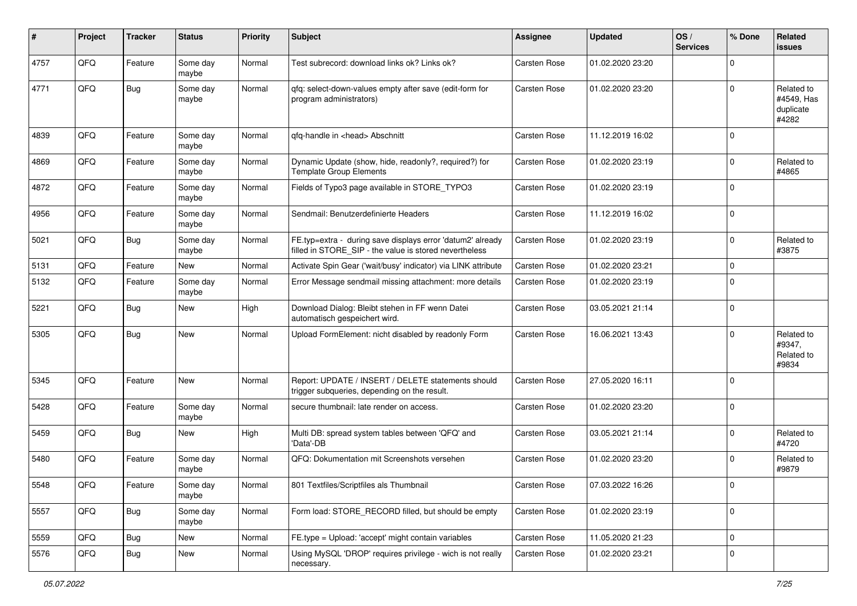| #    | Project        | <b>Tracker</b> | <b>Status</b>     | <b>Priority</b> | Subject                                                                                                              | Assignee            | <b>Updated</b>   | OS/<br><b>Services</b> | % Done      | Related<br>issues                              |
|------|----------------|----------------|-------------------|-----------------|----------------------------------------------------------------------------------------------------------------------|---------------------|------------------|------------------------|-------------|------------------------------------------------|
| 4757 | QFQ            | Feature        | Some day<br>maybe | Normal          | Test subrecord: download links ok? Links ok?                                                                         | Carsten Rose        | 01.02.2020 23:20 |                        | $\Omega$    |                                                |
| 4771 | QFQ            | Bug            | Some day<br>maybe | Normal          | qfq: select-down-values empty after save (edit-form for<br>program administrators)                                   | Carsten Rose        | 01.02.2020 23:20 |                        | $\Omega$    | Related to<br>#4549, Has<br>duplicate<br>#4282 |
| 4839 | QFQ            | Feature        | Some day<br>maybe | Normal          | qfq-handle in <head> Abschnitt</head>                                                                                | Carsten Rose        | 11.12.2019 16:02 |                        | $\mathbf 0$ |                                                |
| 4869 | QFQ            | Feature        | Some day<br>maybe | Normal          | Dynamic Update (show, hide, readonly?, required?) for<br><b>Template Group Elements</b>                              | <b>Carsten Rose</b> | 01.02.2020 23:19 |                        | $\mathbf 0$ | Related to<br>#4865                            |
| 4872 | QFQ            | Feature        | Some day<br>maybe | Normal          | Fields of Typo3 page available in STORE_TYPO3                                                                        | Carsten Rose        | 01.02.2020 23:19 |                        | $\Omega$    |                                                |
| 4956 | QFQ            | Feature        | Some day<br>maybe | Normal          | Sendmail: Benutzerdefinierte Headers                                                                                 | Carsten Rose        | 11.12.2019 16:02 |                        | $\mathbf 0$ |                                                |
| 5021 | QFQ            | <b>Bug</b>     | Some day<br>maybe | Normal          | FE.typ=extra - during save displays error 'datum2' already<br>filled in STORE_SIP - the value is stored nevertheless | Carsten Rose        | 01.02.2020 23:19 |                        | $\mathbf 0$ | Related to<br>#3875                            |
| 5131 | QFQ            | Feature        | New               | Normal          | Activate Spin Gear ('wait/busy' indicator) via LINK attribute                                                        | Carsten Rose        | 01.02.2020 23:21 |                        | $\mathbf 0$ |                                                |
| 5132 | QFQ            | Feature        | Some day<br>maybe | Normal          | Error Message sendmail missing attachment: more details                                                              | Carsten Rose        | 01.02.2020 23:19 |                        | $\mathbf 0$ |                                                |
| 5221 | QFQ            | Bug            | New               | High            | Download Dialog: Bleibt stehen in FF wenn Datei<br>automatisch gespeichert wird.                                     | Carsten Rose        | 03.05.2021 21:14 |                        | $\mathbf 0$ |                                                |
| 5305 | QFQ            | Bug            | <b>New</b>        | Normal          | Upload FormElement: nicht disabled by readonly Form                                                                  | Carsten Rose        | 16.06.2021 13:43 |                        | $\Omega$    | Related to<br>#9347,<br>Related to<br>#9834    |
| 5345 | QFQ            | Feature        | <b>New</b>        | Normal          | Report: UPDATE / INSERT / DELETE statements should<br>trigger subqueries, depending on the result.                   | Carsten Rose        | 27.05.2020 16:11 |                        | $\mathbf 0$ |                                                |
| 5428 | QFQ            | Feature        | Some day<br>maybe | Normal          | secure thumbnail: late render on access.                                                                             | Carsten Rose        | 01.02.2020 23:20 |                        | $\mathbf 0$ |                                                |
| 5459 | QFQ            | <b>Bug</b>     | <b>New</b>        | High            | Multi DB: spread system tables between 'QFQ' and<br>'Data'-DB                                                        | Carsten Rose        | 03.05.2021 21:14 |                        | $\mathbf 0$ | Related to<br>#4720                            |
| 5480 | QFQ            | Feature        | Some day<br>maybe | Normal          | QFQ: Dokumentation mit Screenshots versehen                                                                          | Carsten Rose        | 01.02.2020 23:20 |                        | $\mathbf 0$ | Related to<br>#9879                            |
| 5548 | $\mathsf{QFQ}$ | Feature        | Some day<br>maybe | Normal          | 801 Textfiles/Scriptfiles als Thumbnail                                                                              | Carsten Rose        | 07.03.2022 16:26 |                        | $\pmb{0}$   |                                                |
| 5557 | QFQ            | Bug            | Some day<br>maybe | Normal          | Form load: STORE RECORD filled, but should be empty                                                                  | Carsten Rose        | 01.02.2020 23:19 |                        | $\mathbf 0$ |                                                |
| 5559 | QFQ            | <b>Bug</b>     | New               | Normal          | FE.type = Upload: 'accept' might contain variables                                                                   | Carsten Rose        | 11.05.2020 21:23 |                        | $\mathbf 0$ |                                                |
| 5576 | QFQ            | <b>Bug</b>     | New               | Normal          | Using MySQL 'DROP' requires privilege - wich is not really<br>necessary.                                             | Carsten Rose        | 01.02.2020 23:21 |                        | $\mathbf 0$ |                                                |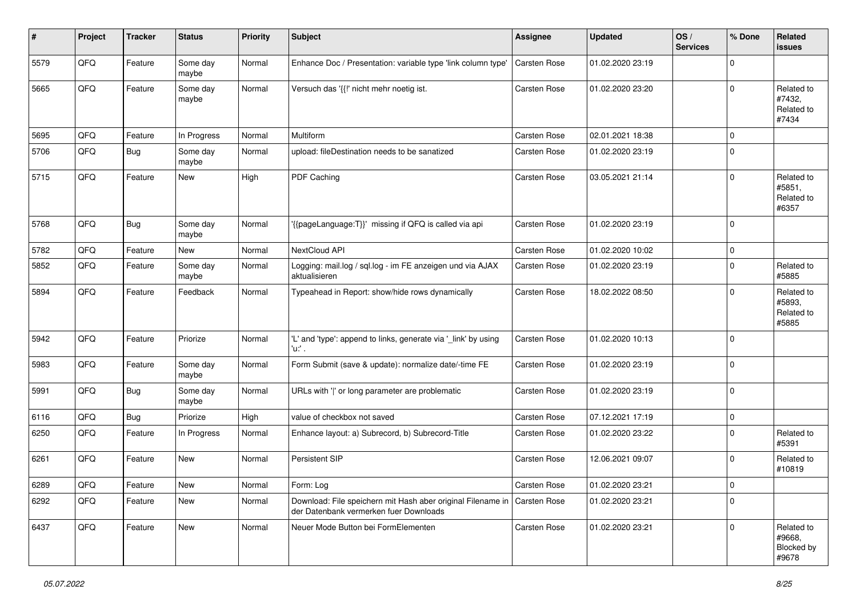| ∦    | Project        | <b>Tracker</b> | <b>Status</b>     | <b>Priority</b> | <b>Subject</b>                                                                                        | Assignee            | <b>Updated</b>   | OS/<br><b>Services</b> | % Done      | Related<br><b>issues</b>                    |
|------|----------------|----------------|-------------------|-----------------|-------------------------------------------------------------------------------------------------------|---------------------|------------------|------------------------|-------------|---------------------------------------------|
| 5579 | QFQ            | Feature        | Some day<br>maybe | Normal          | Enhance Doc / Presentation: variable type 'link column type'                                          | Carsten Rose        | 01.02.2020 23:19 |                        | $\Omega$    |                                             |
| 5665 | QFQ            | Feature        | Some day<br>maybe | Normal          | Versuch das '{{!' nicht mehr noetig ist.                                                              | <b>Carsten Rose</b> | 01.02.2020 23:20 |                        | $\mathbf 0$ | Related to<br>#7432,<br>Related to<br>#7434 |
| 5695 | QFQ            | Feature        | In Progress       | Normal          | Multiform                                                                                             | Carsten Rose        | 02.01.2021 18:38 |                        | $\mathbf 0$ |                                             |
| 5706 | QFQ            | <b>Bug</b>     | Some day<br>maybe | Normal          | upload: fileDestination needs to be sanatized                                                         | Carsten Rose        | 01.02.2020 23:19 |                        | $\mathbf 0$ |                                             |
| 5715 | QFQ            | Feature        | <b>New</b>        | High            | PDF Caching                                                                                           | <b>Carsten Rose</b> | 03.05.2021 21:14 |                        | $\mathbf 0$ | Related to<br>#5851,<br>Related to<br>#6357 |
| 5768 | QFQ            | Bug            | Some day<br>maybe | Normal          | '{{pageLanguage:T}}' missing if QFQ is called via api                                                 | Carsten Rose        | 01.02.2020 23:19 |                        | $\mathbf 0$ |                                             |
| 5782 | QFQ            | Feature        | New               | Normal          | NextCloud API                                                                                         | <b>Carsten Rose</b> | 01.02.2020 10:02 |                        | 0           |                                             |
| 5852 | QFQ            | Feature        | Some day<br>maybe | Normal          | Logging: mail.log / sql.log - im FE anzeigen und via AJAX<br>aktualisieren                            | <b>Carsten Rose</b> | 01.02.2020 23:19 |                        | $\mathbf 0$ | Related to<br>#5885                         |
| 5894 | QFQ            | Feature        | Feedback          | Normal          | Typeahead in Report: show/hide rows dynamically                                                       | Carsten Rose        | 18.02.2022 08:50 |                        | $\mathbf 0$ | Related to<br>#5893,<br>Related to<br>#5885 |
| 5942 | QFQ            | Feature        | Priorize          | Normal          | 'L' and 'type': append to links, generate via '_link' by using<br>'u:' .                              | Carsten Rose        | 01.02.2020 10:13 |                        | $\mathbf 0$ |                                             |
| 5983 | QFQ            | Feature        | Some day<br>maybe | Normal          | Form Submit (save & update): normalize date/-time FE                                                  | Carsten Rose        | 01.02.2020 23:19 |                        | $\Omega$    |                                             |
| 5991 | QFQ            | Bug            | Some day<br>maybe | Normal          | URLs with ' ' or long parameter are problematic                                                       | Carsten Rose        | 01.02.2020 23:19 |                        | $\mathbf 0$ |                                             |
| 6116 | QFQ            | <b>Bug</b>     | Priorize          | High            | value of checkbox not saved                                                                           | Carsten Rose        | 07.12.2021 17:19 |                        | $\mathbf 0$ |                                             |
| 6250 | QFQ            | Feature        | In Progress       | Normal          | Enhance layout: a) Subrecord, b) Subrecord-Title                                                      | <b>Carsten Rose</b> | 01.02.2020 23:22 |                        | $\mathbf 0$ | Related to<br>#5391                         |
| 6261 | QFQ            | Feature        | <b>New</b>        | Normal          | Persistent SIP                                                                                        | <b>Carsten Rose</b> | 12.06.2021 09:07 |                        | $\mathbf 0$ | Related to<br>#10819                        |
| 6289 | $\mathsf{QFQ}$ | Feature        | New               | Normal          | Form: Log                                                                                             | Carsten Rose        | 01.02.2020 23:21 |                        | $\pmb{0}$   |                                             |
| 6292 | QFQ            | Feature        | New               | Normal          | Download: File speichern mit Hash aber original Filename in<br>der Datenbank vermerken fuer Downloads | Carsten Rose        | 01.02.2020 23:21 |                        | $\mathbf 0$ |                                             |
| 6437 | QFQ            | Feature        | New               | Normal          | Neuer Mode Button bei FormElementen                                                                   | Carsten Rose        | 01.02.2020 23:21 |                        | $\mathbf 0$ | Related to<br>#9668,<br>Blocked by<br>#9678 |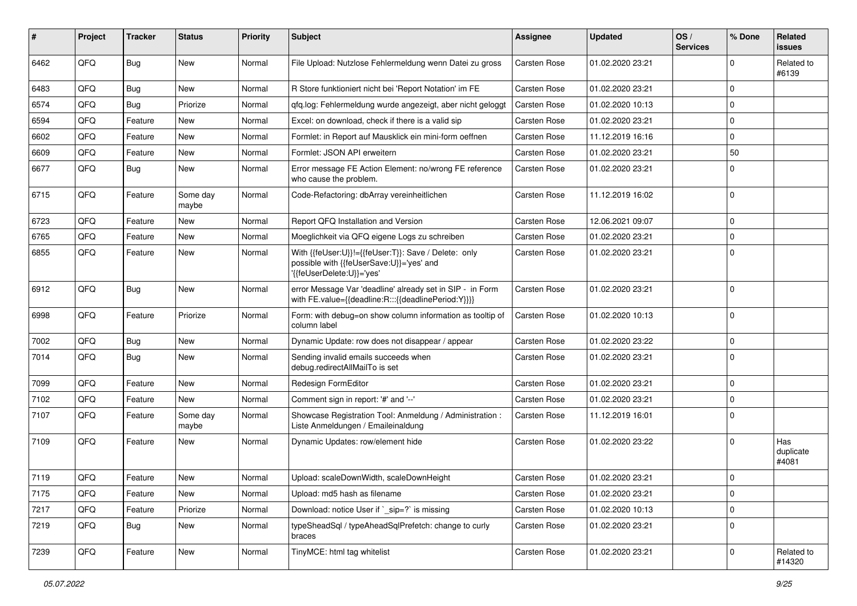| ∦    | Project | <b>Tracker</b> | <b>Status</b>     | <b>Priority</b> | <b>Subject</b>                                                                                                                | <b>Assignee</b>     | <b>Updated</b>   | OS/<br><b>Services</b> | % Done       | Related<br>issues         |
|------|---------|----------------|-------------------|-----------------|-------------------------------------------------------------------------------------------------------------------------------|---------------------|------------------|------------------------|--------------|---------------------------|
| 6462 | QFQ     | <b>Bug</b>     | New               | Normal          | File Upload: Nutzlose Fehlermeldung wenn Datei zu gross                                                                       | Carsten Rose        | 01.02.2020 23:21 |                        | $\Omega$     | Related to<br>#6139       |
| 6483 | QFQ     | <b>Bug</b>     | <b>New</b>        | Normal          | R Store funktioniert nicht bei 'Report Notation' im FE                                                                        | Carsten Rose        | 01.02.2020 23:21 |                        | $\Omega$     |                           |
| 6574 | QFQ     | <b>Bug</b>     | Priorize          | Normal          | gfg.log: Fehlermeldung wurde angezeigt, aber nicht geloggt                                                                    | Carsten Rose        | 01.02.2020 10:13 |                        | 0            |                           |
| 6594 | QFQ     | Feature        | New               | Normal          | Excel: on download, check if there is a valid sip                                                                             | Carsten Rose        | 01.02.2020 23:21 |                        | 0            |                           |
| 6602 | QFQ     | Feature        | <b>New</b>        | Normal          | Formlet: in Report auf Mausklick ein mini-form oeffnen                                                                        | <b>Carsten Rose</b> | 11.12.2019 16:16 |                        | $\Omega$     |                           |
| 6609 | QFQ     | Feature        | <b>New</b>        | Normal          | Formlet: JSON API erweitern                                                                                                   | Carsten Rose        | 01.02.2020 23:21 |                        | 50           |                           |
| 6677 | QFQ     | Bug            | <b>New</b>        | Normal          | Error message FE Action Element: no/wrong FE reference<br>who cause the problem.                                              | Carsten Rose        | 01.02.2020 23:21 |                        | $\Omega$     |                           |
| 6715 | QFQ     | Feature        | Some day<br>maybe | Normal          | Code-Refactoring: dbArray vereinheitlichen                                                                                    | Carsten Rose        | 11.12.2019 16:02 |                        | $\Omega$     |                           |
| 6723 | QFQ     | Feature        | New               | Normal          | Report QFQ Installation and Version                                                                                           | Carsten Rose        | 12.06.2021 09:07 |                        | $\mathbf 0$  |                           |
| 6765 | QFQ     | Feature        | <b>New</b>        | Normal          | Moeglichkeit via QFQ eigene Logs zu schreiben                                                                                 | <b>Carsten Rose</b> | 01.02.2020 23:21 |                        | 0            |                           |
| 6855 | QFQ     | Feature        | New               | Normal          | With {{feUser:U}}!={{feUser:T}}: Save / Delete: only<br>possible with {{feUserSave:U}}='yes' and<br>'{{feUserDelete:U}}='yes' | <b>Carsten Rose</b> | 01.02.2020 23:21 |                        | $\mathbf 0$  |                           |
| 6912 | QFQ     | <b>Bug</b>     | <b>New</b>        | Normal          | error Message Var 'deadline' already set in SIP - in Form<br>with FE.value={{deadline:R:::{{deadlinePeriod:Y}}}}              | Carsten Rose        | 01.02.2020 23:21 |                        | $\Omega$     |                           |
| 6998 | QFQ     | Feature        | Priorize          | Normal          | Form: with debug=on show column information as tooltip of<br>column label                                                     | <b>Carsten Rose</b> | 01.02.2020 10:13 |                        | $\Omega$     |                           |
| 7002 | QFQ     | Bug            | <b>New</b>        | Normal          | Dynamic Update: row does not disappear / appear                                                                               | Carsten Rose        | 01.02.2020 23:22 |                        | $\mathbf 0$  |                           |
| 7014 | QFQ     | Bug            | New               | Normal          | Sending invalid emails succeeds when<br>debug.redirectAllMailTo is set                                                        | Carsten Rose        | 01.02.2020 23:21 |                        | $\mathbf 0$  |                           |
| 7099 | QFQ     | Feature        | <b>New</b>        | Normal          | Redesign FormEditor                                                                                                           | Carsten Rose        | 01.02.2020 23:21 |                        | $\mathbf{0}$ |                           |
| 7102 | QFQ     | Feature        | New               | Normal          | Comment sign in report: '#' and '--'                                                                                          | Carsten Rose        | 01.02.2020 23:21 |                        | $\mathbf 0$  |                           |
| 7107 | QFQ     | Feature        | Some day<br>maybe | Normal          | Showcase Registration Tool: Anmeldung / Administration :<br>Liste Anmeldungen / Emaileinaldung                                | Carsten Rose        | 11.12.2019 16:01 |                        | $\Omega$     |                           |
| 7109 | QFQ     | Feature        | <b>New</b>        | Normal          | Dynamic Updates: row/element hide                                                                                             | Carsten Rose        | 01.02.2020 23:22 |                        | $\mathbf 0$  | Has<br>duplicate<br>#4081 |
| 7119 | QFQ     | Feature        | New               | Normal          | Upload: scaleDownWidth, scaleDownHeight                                                                                       | Carsten Rose        | 01.02.2020 23:21 |                        | $\mathbf 0$  |                           |
| 7175 | QFQ     | Feature        | New               | Normal          | Upload: md5 hash as filename                                                                                                  | Carsten Rose        | 01.02.2020 23:21 |                        | $\mathbf 0$  |                           |
| 7217 | QFQ     | Feature        | Priorize          | Normal          | Download: notice User if `_sip=?` is missing                                                                                  | Carsten Rose        | 01.02.2020 10:13 |                        | $\mathbf 0$  |                           |
| 7219 | QFQ     | <b>Bug</b>     | New               | Normal          | typeSheadSql / typeAheadSqlPrefetch: change to curly<br>braces                                                                | Carsten Rose        | 01.02.2020 23:21 |                        | $\mathbf 0$  |                           |
| 7239 | QFQ     | Feature        | New               | Normal          | TinyMCE: html tag whitelist                                                                                                   | Carsten Rose        | 01.02.2020 23:21 |                        | 0            | Related to<br>#14320      |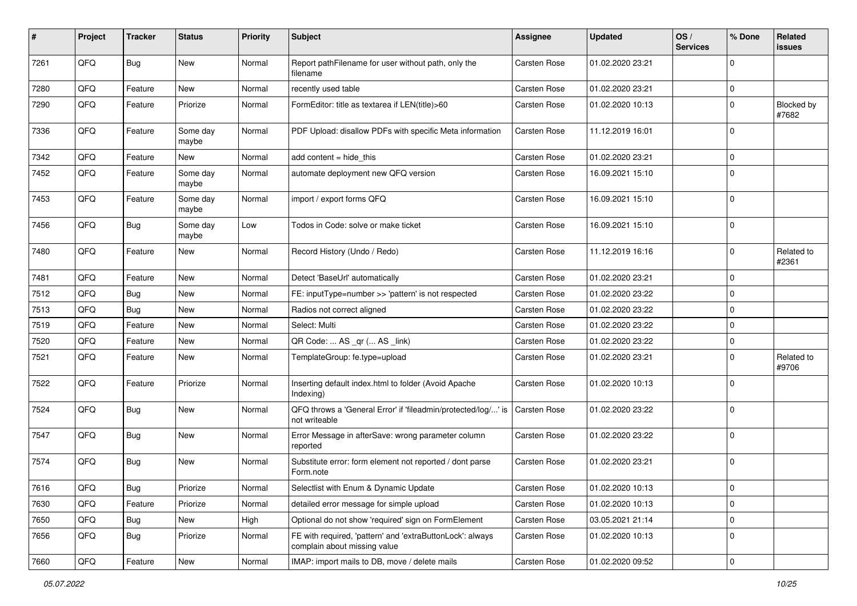| #    | Project | <b>Tracker</b> | <b>Status</b>     | <b>Priority</b> | Subject                                                                                   | <b>Assignee</b> | <b>Updated</b>   | OS/<br><b>Services</b> | % Done       | Related<br>issues   |
|------|---------|----------------|-------------------|-----------------|-------------------------------------------------------------------------------------------|-----------------|------------------|------------------------|--------------|---------------------|
| 7261 | QFQ     | <b>Bug</b>     | New               | Normal          | Report pathFilename for user without path, only the<br>filename                           | Carsten Rose    | 01.02.2020 23:21 |                        | $\Omega$     |                     |
| 7280 | QFQ     | Feature        | New               | Normal          | recently used table                                                                       | Carsten Rose    | 01.02.2020 23:21 |                        | 0            |                     |
| 7290 | QFQ     | Feature        | Priorize          | Normal          | FormEditor: title as textarea if LEN(title)>60                                            | Carsten Rose    | 01.02.2020 10:13 |                        | $\Omega$     | Blocked by<br>#7682 |
| 7336 | QFQ     | Feature        | Some day<br>maybe | Normal          | PDF Upload: disallow PDFs with specific Meta information                                  | Carsten Rose    | 11.12.2019 16:01 |                        | $\Omega$     |                     |
| 7342 | QFQ     | Feature        | New               | Normal          | add content $=$ hide this                                                                 | Carsten Rose    | 01.02.2020 23:21 |                        | $\mathbf 0$  |                     |
| 7452 | QFQ     | Feature        | Some day<br>maybe | Normal          | automate deployment new QFQ version                                                       | Carsten Rose    | 16.09.2021 15:10 |                        | $\mathbf 0$  |                     |
| 7453 | QFQ     | Feature        | Some day<br>maybe | Normal          | import / export forms QFQ                                                                 | Carsten Rose    | 16.09.2021 15:10 |                        | $\mathbf 0$  |                     |
| 7456 | QFQ     | <b>Bug</b>     | Some day<br>maybe | Low             | Todos in Code: solve or make ticket                                                       | Carsten Rose    | 16.09.2021 15:10 |                        | $\mathbf 0$  |                     |
| 7480 | QFQ     | Feature        | New               | Normal          | Record History (Undo / Redo)                                                              | Carsten Rose    | 11.12.2019 16:16 |                        | $\Omega$     | Related to<br>#2361 |
| 7481 | QFQ     | Feature        | <b>New</b>        | Normal          | Detect 'BaseUrl' automatically                                                            | Carsten Rose    | 01.02.2020 23:21 |                        | $\mathbf{0}$ |                     |
| 7512 | QFQ     | Bug            | <b>New</b>        | Normal          | FE: inputType=number >> 'pattern' is not respected                                        | Carsten Rose    | 01.02.2020 23:22 |                        | $\mathbf 0$  |                     |
| 7513 | QFQ     | Bug            | New               | Normal          | Radios not correct aligned                                                                | Carsten Rose    | 01.02.2020 23:22 |                        | $\Omega$     |                     |
| 7519 | QFQ     | Feature        | New               | Normal          | Select: Multi                                                                             | Carsten Rose    | 01.02.2020 23:22 |                        | 0            |                     |
| 7520 | QFQ     | Feature        | New               | Normal          | QR Code:  AS _qr ( AS _link)                                                              | Carsten Rose    | 01.02.2020 23:22 |                        | $\mathbf 0$  |                     |
| 7521 | QFQ     | Feature        | New               | Normal          | TemplateGroup: fe.type=upload                                                             | Carsten Rose    | 01.02.2020 23:21 |                        | $\mathbf 0$  | Related to<br>#9706 |
| 7522 | QFQ     | Feature        | Priorize          | Normal          | Inserting default index.html to folder (Avoid Apache<br>Indexing)                         | Carsten Rose    | 01.02.2020 10:13 |                        | $\Omega$     |                     |
| 7524 | QFQ     | <b>Bug</b>     | New               | Normal          | QFQ throws a 'General Error' if 'fileadmin/protected/log/' is<br>not writeable            | Carsten Rose    | 01.02.2020 23:22 |                        | $\mathbf{0}$ |                     |
| 7547 | QFQ     | <b>Bug</b>     | <b>New</b>        | Normal          | Error Message in afterSave: wrong parameter column<br>reported                            | Carsten Rose    | 01.02.2020 23:22 |                        | $\mathbf{0}$ |                     |
| 7574 | QFQ     | Bug            | New               | Normal          | Substitute error: form element not reported / dont parse<br>Form.note                     | Carsten Rose    | 01.02.2020 23:21 |                        | $\mathbf{0}$ |                     |
| 7616 | QFQ     | <b>Bug</b>     | Priorize          | Normal          | Selectlist with Enum & Dynamic Update                                                     | Carsten Rose    | 01.02.2020 10:13 |                        | 0            |                     |
| 7630 | QFQ     | Feature        | Priorize          | Normal          | detailed error message for simple upload                                                  | Carsten Rose    | 01.02.2020 10:13 |                        | $\mathbf 0$  |                     |
| 7650 | QFQ     | <b>Bug</b>     | New               | High            | Optional do not show 'required' sign on FormElement                                       | Carsten Rose    | 03.05.2021 21:14 |                        | $\mathbf 0$  |                     |
| 7656 | QFQ     | <b>Bug</b>     | Priorize          | Normal          | FE with required, 'pattern' and 'extraButtonLock': always<br>complain about missing value | Carsten Rose    | 01.02.2020 10:13 |                        | $\mathbf 0$  |                     |
| 7660 | QFQ     | Feature        | New               | Normal          | IMAP: import mails to DB, move / delete mails                                             | Carsten Rose    | 01.02.2020 09:52 |                        | $\mathbf 0$  |                     |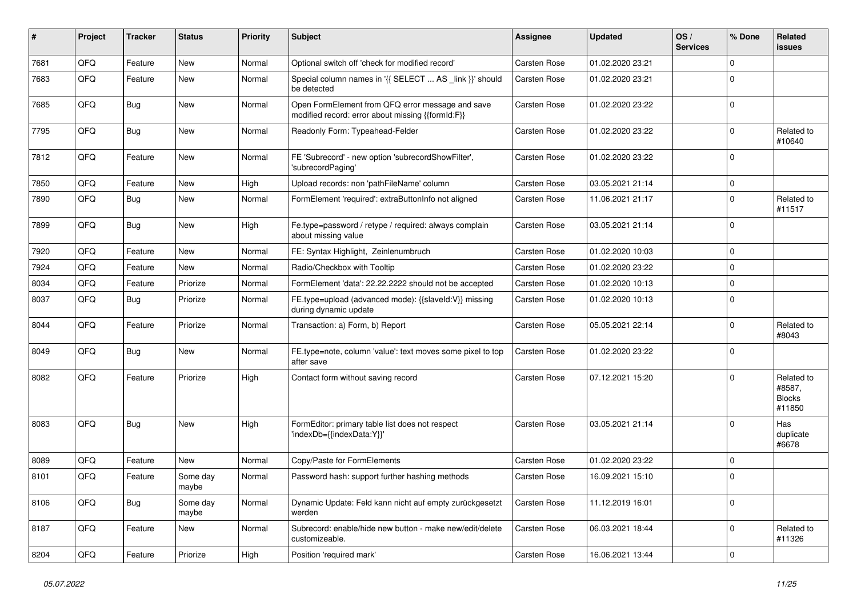| #    | Project | <b>Tracker</b> | <b>Status</b>     | <b>Priority</b> | <b>Subject</b>                                                                                        | <b>Assignee</b>     | <b>Updated</b>   | OS/<br><b>Services</b> | % Done      | Related<br><b>issues</b>                        |
|------|---------|----------------|-------------------|-----------------|-------------------------------------------------------------------------------------------------------|---------------------|------------------|------------------------|-------------|-------------------------------------------------|
| 7681 | QFQ     | Feature        | <b>New</b>        | Normal          | Optional switch off 'check for modified record'                                                       | Carsten Rose        | 01.02.2020 23:21 |                        | $\Omega$    |                                                 |
| 7683 | QFQ     | Feature        | New               | Normal          | Special column names in '{{ SELECT  AS _link }}' should<br>be detected                                | <b>Carsten Rose</b> | 01.02.2020 23:21 |                        | $\mathbf 0$ |                                                 |
| 7685 | QFQ     | Bug            | New               | Normal          | Open FormElement from QFQ error message and save<br>modified record: error about missing {{formId:F}} | Carsten Rose        | 01.02.2020 23:22 |                        | $\mathbf 0$ |                                                 |
| 7795 | QFQ     | Bug            | <b>New</b>        | Normal          | Readonly Form: Typeahead-Felder                                                                       | Carsten Rose        | 01.02.2020 23:22 |                        | $\mathbf 0$ | Related to<br>#10640                            |
| 7812 | QFQ     | Feature        | New               | Normal          | FE 'Subrecord' - new option 'subrecordShowFilter',<br>'subrecordPaging'                               | <b>Carsten Rose</b> | 01.02.2020 23:22 |                        | $\Omega$    |                                                 |
| 7850 | QFQ     | Feature        | <b>New</b>        | High            | Upload records: non 'pathFileName' column                                                             | Carsten Rose        | 03.05.2021 21:14 |                        | $\mathbf 0$ |                                                 |
| 7890 | QFQ     | <b>Bug</b>     | <b>New</b>        | Normal          | FormElement 'required': extraButtonInfo not aligned                                                   | <b>Carsten Rose</b> | 11.06.2021 21:17 |                        | $\mathbf 0$ | Related to<br>#11517                            |
| 7899 | QFQ     | <b>Bug</b>     | <b>New</b>        | High            | Fe.type=password / retype / required: always complain<br>about missing value                          | Carsten Rose        | 03.05.2021 21:14 |                        | $\mathbf 0$ |                                                 |
| 7920 | QFQ     | Feature        | <b>New</b>        | Normal          | FE: Syntax Highlight, Zeinlenumbruch                                                                  | <b>Carsten Rose</b> | 01.02.2020 10:03 |                        | $\mathbf 0$ |                                                 |
| 7924 | QFQ     | Feature        | <b>New</b>        | Normal          | Radio/Checkbox with Tooltip                                                                           | Carsten Rose        | 01.02.2020 23:22 |                        | $\mathbf 0$ |                                                 |
| 8034 | QFQ     | Feature        | Priorize          | Normal          | FormElement 'data': 22.22.2222 should not be accepted                                                 | <b>Carsten Rose</b> | 01.02.2020 10:13 |                        | $\mathbf 0$ |                                                 |
| 8037 | QFQ     | Bug            | Priorize          | Normal          | FE.type=upload (advanced mode): {{slaveld:V}} missing<br>during dynamic update                        | Carsten Rose        | 01.02.2020 10:13 |                        | $\mathbf 0$ |                                                 |
| 8044 | QFQ     | Feature        | Priorize          | Normal          | Transaction: a) Form, b) Report                                                                       | Carsten Rose        | 05.05.2021 22:14 |                        | $\mathbf 0$ | Related to<br>#8043                             |
| 8049 | QFQ     | Bug            | <b>New</b>        | Normal          | FE.type=note, column 'value': text moves some pixel to top<br>after save                              | Carsten Rose        | 01.02.2020 23:22 |                        | $\mathbf 0$ |                                                 |
| 8082 | QFQ     | Feature        | Priorize          | High            | Contact form without saving record                                                                    | Carsten Rose        | 07.12.2021 15:20 |                        | $\mathbf 0$ | Related to<br>#8587,<br><b>Blocks</b><br>#11850 |
| 8083 | QFQ     | Bug            | <b>New</b>        | High            | FormEditor: primary table list does not respect<br>'indexDb={{indexData:Y}}'                          | Carsten Rose        | 03.05.2021 21:14 |                        | $\mathbf 0$ | Has<br>duplicate<br>#6678                       |
| 8089 | QFQ     | Feature        | <b>New</b>        | Normal          | Copy/Paste for FormElements                                                                           | Carsten Rose        | 01.02.2020 23:22 |                        | $\mathbf 0$ |                                                 |
| 8101 | QFQ     | Feature        | Some day<br>maybe | Normal          | Password hash: support further hashing methods                                                        | Carsten Rose        | 16.09.2021 15:10 |                        | $\mathbf 0$ |                                                 |
| 8106 | QFQ     | <b>Bug</b>     | Some day<br>maybe | Normal          | Dynamic Update: Feld kann nicht auf empty zurückgesetzt<br>werden                                     | Carsten Rose        | 11.12.2019 16:01 |                        | $\mathbf 0$ |                                                 |
| 8187 | QFQ     | Feature        | New               | Normal          | Subrecord: enable/hide new button - make new/edit/delete<br>customizeable.                            | Carsten Rose        | 06.03.2021 18:44 |                        | $\mathbf 0$ | Related to<br>#11326                            |
| 8204 | QFQ     | Feature        | Priorize          | High            | Position 'required mark'                                                                              | Carsten Rose        | 16.06.2021 13:44 |                        | $\mathbf 0$ |                                                 |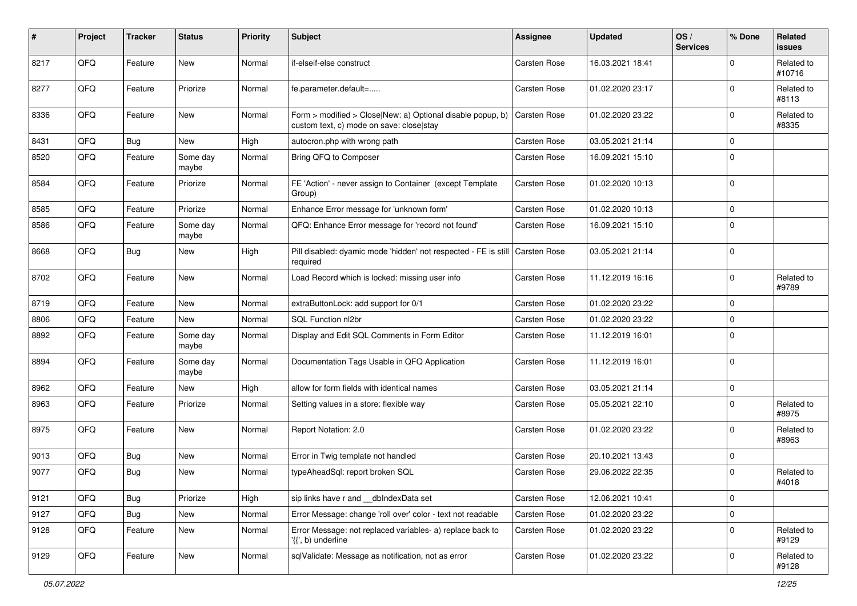| #    | Project | <b>Tracker</b> | <b>Status</b>     | <b>Priority</b> | <b>Subject</b>                                                                                         | <b>Assignee</b>     | <b>Updated</b>   | OS/<br><b>Services</b> | % Done      | Related<br><b>issues</b> |
|------|---------|----------------|-------------------|-----------------|--------------------------------------------------------------------------------------------------------|---------------------|------------------|------------------------|-------------|--------------------------|
| 8217 | QFQ     | Feature        | New               | Normal          | if-elseif-else construct                                                                               | Carsten Rose        | 16.03.2021 18:41 |                        | $\Omega$    | Related to<br>#10716     |
| 8277 | QFQ     | Feature        | Priorize          | Normal          | fe.parameter.default=                                                                                  | Carsten Rose        | 01.02.2020 23:17 |                        | $\mathbf 0$ | Related to<br>#8113      |
| 8336 | QFQ     | Feature        | New               | Normal          | Form > modified > Close New: a) Optional disable popup, b)<br>custom text, c) mode on save: close stay | Carsten Rose        | 01.02.2020 23:22 |                        | $\mathbf 0$ | Related to<br>#8335      |
| 8431 | QFQ     | <b>Bug</b>     | <b>New</b>        | High            | autocron.php with wrong path                                                                           | Carsten Rose        | 03.05.2021 21:14 |                        | $\mathbf 0$ |                          |
| 8520 | QFQ     | Feature        | Some day<br>maybe | Normal          | Bring QFQ to Composer                                                                                  | Carsten Rose        | 16.09.2021 15:10 |                        | $\mathbf 0$ |                          |
| 8584 | QFQ     | Feature        | Priorize          | Normal          | FE 'Action' - never assign to Container (except Template<br>Group)                                     | Carsten Rose        | 01.02.2020 10:13 |                        | $\mathbf 0$ |                          |
| 8585 | QFQ     | Feature        | Priorize          | Normal          | Enhance Error message for 'unknown form'                                                               | Carsten Rose        | 01.02.2020 10:13 |                        | $\mathbf 0$ |                          |
| 8586 | QFQ     | Feature        | Some day<br>maybe | Normal          | QFQ: Enhance Error message for 'record not found'                                                      | <b>Carsten Rose</b> | 16.09.2021 15:10 |                        | $\mathbf 0$ |                          |
| 8668 | QFQ     | <b>Bug</b>     | New               | High            | Pill disabled: dyamic mode 'hidden' not respected - FE is still<br>required                            | Carsten Rose        | 03.05.2021 21:14 |                        | $\mathbf 0$ |                          |
| 8702 | QFQ     | Feature        | New               | Normal          | Load Record which is locked: missing user info                                                         | Carsten Rose        | 11.12.2019 16:16 |                        | $\mathbf 0$ | Related to<br>#9789      |
| 8719 | QFQ     | Feature        | New               | Normal          | extraButtonLock: add support for 0/1                                                                   | Carsten Rose        | 01.02.2020 23:22 |                        | $\mathbf 0$ |                          |
| 8806 | QFQ     | Feature        | New               | Normal          | SQL Function nl2br                                                                                     | Carsten Rose        | 01.02.2020 23:22 |                        | $\mathbf 0$ |                          |
| 8892 | QFQ     | Feature        | Some day<br>maybe | Normal          | Display and Edit SQL Comments in Form Editor                                                           | <b>Carsten Rose</b> | 11.12.2019 16:01 |                        | $\mathbf 0$ |                          |
| 8894 | QFQ     | Feature        | Some day<br>maybe | Normal          | Documentation Tags Usable in QFQ Application                                                           | Carsten Rose        | 11.12.2019 16:01 |                        | $\mathbf 0$ |                          |
| 8962 | QFQ     | Feature        | New               | High            | allow for form fields with identical names                                                             | Carsten Rose        | 03.05.2021 21:14 |                        | $\mathbf 0$ |                          |
| 8963 | QFQ     | Feature        | Priorize          | Normal          | Setting values in a store: flexible way                                                                | Carsten Rose        | 05.05.2021 22:10 |                        | $\mathbf 0$ | Related to<br>#8975      |
| 8975 | QFQ     | Feature        | New               | Normal          | Report Notation: 2.0                                                                                   | Carsten Rose        | 01.02.2020 23:22 |                        | $\mathbf 0$ | Related to<br>#8963      |
| 9013 | QFQ     | <b>Bug</b>     | New               | Normal          | Error in Twig template not handled                                                                     | Carsten Rose        | 20.10.2021 13:43 |                        | $\mathbf 0$ |                          |
| 9077 | QFQ     | Bug            | New               | Normal          | typeAheadSql: report broken SQL                                                                        | <b>Carsten Rose</b> | 29.06.2022 22:35 |                        | $\mathbf 0$ | Related to<br>#4018      |
| 9121 | QFQ     | <b>Bug</b>     | Priorize          | High            | sip links have r and dblndexData set                                                                   | Carsten Rose        | 12.06.2021 10:41 |                        | $\mathbf 0$ |                          |
| 9127 | QFQ     | <b>Bug</b>     | New               | Normal          | Error Message: change 'roll over' color - text not readable                                            | Carsten Rose        | 01.02.2020 23:22 |                        | $\mathbf 0$ |                          |
| 9128 | QFQ     | Feature        | New               | Normal          | Error Message: not replaced variables- a) replace back to<br>'{{', b) underline                        | Carsten Rose        | 01.02.2020 23:22 |                        | $\mathbf 0$ | Related to<br>#9129      |
| 9129 | QFQ     | Feature        | New               | Normal          | sqlValidate: Message as notification, not as error                                                     | Carsten Rose        | 01.02.2020 23:22 |                        | $\mathbf 0$ | Related to<br>#9128      |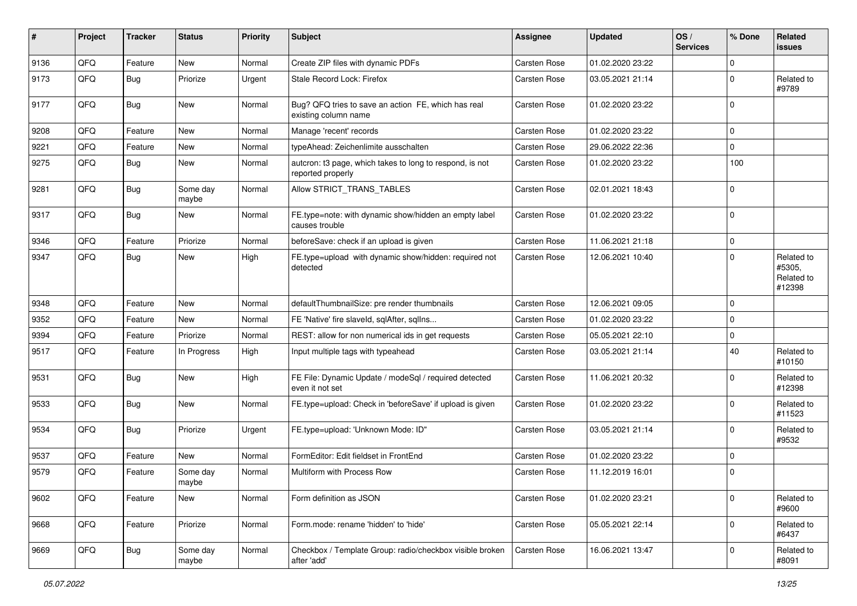| #    | Project | <b>Tracker</b> | <b>Status</b>     | <b>Priority</b> | <b>Subject</b>                                                                | <b>Assignee</b>     | <b>Updated</b>   | OS/<br><b>Services</b> | % Done      | <b>Related</b><br>issues                     |
|------|---------|----------------|-------------------|-----------------|-------------------------------------------------------------------------------|---------------------|------------------|------------------------|-------------|----------------------------------------------|
| 9136 | QFQ     | Feature        | <b>New</b>        | Normal          | Create ZIP files with dynamic PDFs                                            | Carsten Rose        | 01.02.2020 23:22 |                        | $\mathbf 0$ |                                              |
| 9173 | QFQ     | Bug            | Priorize          | Urgent          | Stale Record Lock: Firefox                                                    | Carsten Rose        | 03.05.2021 21:14 |                        | $\mathbf 0$ | Related to<br>#9789                          |
| 9177 | QFQ     | <b>Bug</b>     | New               | Normal          | Bug? QFQ tries to save an action FE, which has real<br>existing column name   | Carsten Rose        | 01.02.2020 23:22 |                        | $\mathbf 0$ |                                              |
| 9208 | QFQ     | Feature        | New               | Normal          | Manage 'recent' records                                                       | Carsten Rose        | 01.02.2020 23:22 |                        | $\mathbf 0$ |                                              |
| 9221 | QFQ     | Feature        | New               | Normal          | typeAhead: Zeichenlimite ausschalten                                          | Carsten Rose        | 29.06.2022 22:36 |                        | $\mathbf 0$ |                                              |
| 9275 | QFQ     | Bug            | New               | Normal          | autcron: t3 page, which takes to long to respond, is not<br>reported properly | Carsten Rose        | 01.02.2020 23:22 |                        | 100         |                                              |
| 9281 | QFQ     | Bug            | Some day<br>maybe | Normal          | Allow STRICT_TRANS_TABLES                                                     | Carsten Rose        | 02.01.2021 18:43 |                        | $\mathbf 0$ |                                              |
| 9317 | QFQ     | <b>Bug</b>     | <b>New</b>        | Normal          | FE.type=note: with dynamic show/hidden an empty label<br>causes trouble       | Carsten Rose        | 01.02.2020 23:22 |                        | $\mathbf 0$ |                                              |
| 9346 | QFQ     | Feature        | Priorize          | Normal          | beforeSave: check if an upload is given                                       | <b>Carsten Rose</b> | 11.06.2021 21:18 |                        | $\mathbf 0$ |                                              |
| 9347 | QFQ     | Bug            | <b>New</b>        | High            | FE.type=upload with dynamic show/hidden: required not<br>detected             | Carsten Rose        | 12.06.2021 10:40 |                        | $\Omega$    | Related to<br>#5305,<br>Related to<br>#12398 |
| 9348 | QFQ     | Feature        | New               | Normal          | defaultThumbnailSize: pre render thumbnails                                   | Carsten Rose        | 12.06.2021 09:05 |                        | $\mathbf 0$ |                                              |
| 9352 | QFQ     | Feature        | New               | Normal          | FE 'Native' fire slaveld, sqlAfter, sqlIns                                    | Carsten Rose        | 01.02.2020 23:22 |                        | $\mathbf 0$ |                                              |
| 9394 | QFQ     | Feature        | Priorize          | Normal          | REST: allow for non numerical ids in get requests                             | Carsten Rose        | 05.05.2021 22:10 |                        | $\mathbf 0$ |                                              |
| 9517 | QFQ     | Feature        | In Progress       | High            | Input multiple tags with typeahead                                            | Carsten Rose        | 03.05.2021 21:14 |                        | 40          | Related to<br>#10150                         |
| 9531 | QFQ     | <b>Bug</b>     | <b>New</b>        | High            | FE File: Dynamic Update / modeSql / required detected<br>even it not set      | Carsten Rose        | 11.06.2021 20:32 |                        | $\mathbf 0$ | Related to<br>#12398                         |
| 9533 | QFQ     | <b>Bug</b>     | <b>New</b>        | Normal          | FE.type=upload: Check in 'beforeSave' if upload is given                      | Carsten Rose        | 01.02.2020 23:22 |                        | $\mathbf 0$ | Related to<br>#11523                         |
| 9534 | QFQ     | Bug            | Priorize          | Urgent          | FE.type=upload: 'Unknown Mode: ID"                                            | Carsten Rose        | 03.05.2021 21:14 |                        | $\mathbf 0$ | Related to<br>#9532                          |
| 9537 | QFQ     | Feature        | New               | Normal          | FormEditor: Edit fieldset in FrontEnd                                         | Carsten Rose        | 01.02.2020 23:22 |                        | $\mathbf 0$ |                                              |
| 9579 | QFQ     | Feature        | Some day<br>maybe | Normal          | Multiform with Process Row                                                    | Carsten Rose        | 11.12.2019 16:01 |                        | $\mathbf 0$ |                                              |
| 9602 | QFQ     | Feature        | New               | Normal          | Form definition as JSON                                                       | Carsten Rose        | 01.02.2020 23:21 |                        | $\mathbf 0$ | Related to<br>#9600                          |
| 9668 | QFQ     | Feature        | Priorize          | Normal          | Form.mode: rename 'hidden' to 'hide'                                          | Carsten Rose        | 05.05.2021 22:14 |                        | $\mathbf 0$ | Related to<br>#6437                          |
| 9669 | QFO     | <b>Bug</b>     | Some day<br>maybe | Normal          | Checkbox / Template Group: radio/checkbox visible broken<br>after 'add'       | Carsten Rose        | 16.06.2021 13:47 |                        | 0           | Related to<br>#8091                          |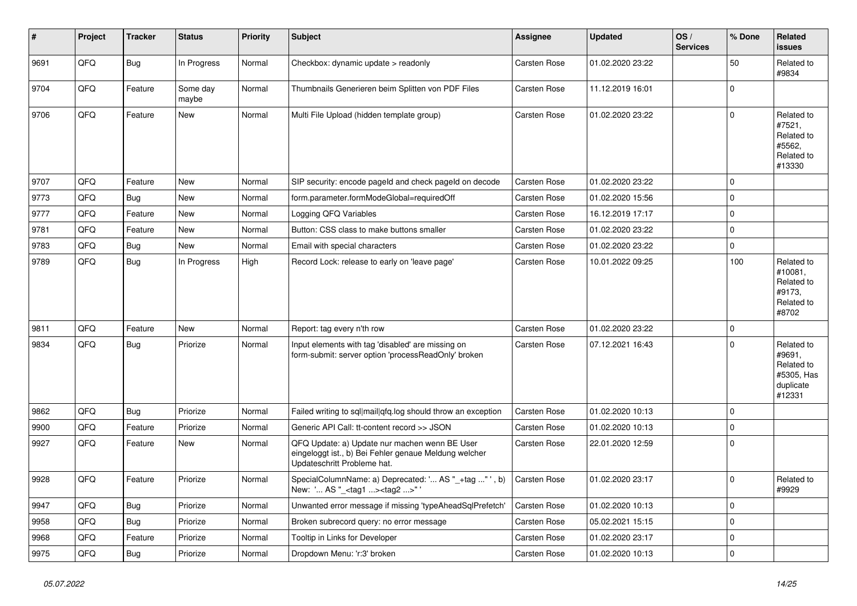| ∦    | Project | <b>Tracker</b> | <b>Status</b>     | <b>Priority</b> | <b>Subject</b>                                                                                                                        | Assignee            | <b>Updated</b>   | OS/<br><b>Services</b> | % Done      | <b>Related</b><br><b>issues</b>                                         |
|------|---------|----------------|-------------------|-----------------|---------------------------------------------------------------------------------------------------------------------------------------|---------------------|------------------|------------------------|-------------|-------------------------------------------------------------------------|
| 9691 | QFQ     | <b>Bug</b>     | In Progress       | Normal          | Checkbox: dynamic update > readonly                                                                                                   | Carsten Rose        | 01.02.2020 23:22 |                        | 50          | Related to<br>#9834                                                     |
| 9704 | QFQ     | Feature        | Some day<br>maybe | Normal          | Thumbnails Generieren beim Splitten von PDF Files                                                                                     | Carsten Rose        | 11.12.2019 16:01 |                        | $\mathbf 0$ |                                                                         |
| 9706 | QFQ     | Feature        | <b>New</b>        | Normal          | Multi File Upload (hidden template group)                                                                                             | <b>Carsten Rose</b> | 01.02.2020 23:22 |                        | $\mathbf 0$ | Related to<br>#7521,<br>Related to<br>#5562,<br>Related to<br>#13330    |
| 9707 | QFQ     | Feature        | New               | Normal          | SIP security: encode pageld and check pageld on decode                                                                                | Carsten Rose        | 01.02.2020 23:22 |                        | $\Omega$    |                                                                         |
| 9773 | QFQ     | <b>Bug</b>     | New               | Normal          | form.parameter.formModeGlobal=requiredOff                                                                                             | Carsten Rose        | 01.02.2020 15:56 |                        | $\mathbf 0$ |                                                                         |
| 9777 | QFQ     | Feature        | New               | Normal          | Logging QFQ Variables                                                                                                                 | <b>Carsten Rose</b> | 16.12.2019 17:17 |                        | $\mathbf 0$ |                                                                         |
| 9781 | QFQ     | Feature        | <b>New</b>        | Normal          | Button: CSS class to make buttons smaller                                                                                             | Carsten Rose        | 01.02.2020 23:22 |                        | $\mathbf 0$ |                                                                         |
| 9783 | QFQ     | Bug            | <b>New</b>        | Normal          | Email with special characters                                                                                                         | Carsten Rose        | 01.02.2020 23:22 |                        | $\mathbf 0$ |                                                                         |
| 9789 | QFQ     | Bug            | In Progress       | High            | Record Lock: release to early on 'leave page'                                                                                         | <b>Carsten Rose</b> | 10.01.2022 09:25 |                        | 100         | Related to<br>#10081,<br>Related to<br>#9173,<br>Related to<br>#8702    |
| 9811 | QFQ     | Feature        | New               | Normal          | Report: tag every n'th row                                                                                                            | Carsten Rose        | 01.02.2020 23:22 |                        | $\pmb{0}$   |                                                                         |
| 9834 | QFQ     | <b>Bug</b>     | Priorize          | Normal          | Input elements with tag 'disabled' are missing on<br>form-submit: server option 'processReadOnly' broken                              | Carsten Rose        | 07.12.2021 16:43 |                        | $\mathbf 0$ | Related to<br>#9691,<br>Related to<br>#5305, Has<br>duplicate<br>#12331 |
| 9862 | QFQ     | <b>Bug</b>     | Priorize          | Normal          | Failed writing to sql mail qfq.log should throw an exception                                                                          | <b>Carsten Rose</b> | 01.02.2020 10:13 |                        | $\mathbf 0$ |                                                                         |
| 9900 | QFQ     | Feature        | Priorize          | Normal          | Generic API Call: tt-content record >> JSON                                                                                           | Carsten Rose        | 01.02.2020 10:13 |                        | $\mathbf 0$ |                                                                         |
| 9927 | QFQ     | Feature        | New               | Normal          | QFQ Update: a) Update nur machen wenn BE User<br>eingeloggt ist., b) Bei Fehler genaue Meldung welcher<br>Updateschritt Probleme hat. | <b>Carsten Rose</b> | 22.01.2020 12:59 |                        | $\mathbf 0$ |                                                                         |
| 9928 | QFQ     | Feature        | Priorize          | Normal          | SpecialColumnName: a) Deprecated: ' AS "_+tag " ', b)<br>New: ' AS "_ <tag1><tag2>"</tag2></tag1>                                     | Carsten Rose        | 01.02.2020 23:17 |                        | $\Omega$    | Related to<br>#9929                                                     |
| 9947 | QFQ     | Bug            | Priorize          | Normal          | Unwanted error message if missing 'typeAheadSqlPrefetch'                                                                              | Carsten Rose        | 01.02.2020 10:13 |                        | $\mathbf 0$ |                                                                         |
| 9958 | QFQ     | Bug            | Priorize          | Normal          | Broken subrecord query: no error message                                                                                              | <b>Carsten Rose</b> | 05.02.2021 15:15 |                        | $\mathbf 0$ |                                                                         |
| 9968 | QFQ     | Feature        | Priorize          | Normal          | Tooltip in Links for Developer                                                                                                        | Carsten Rose        | 01.02.2020 23:17 |                        | $\mathbf 0$ |                                                                         |
| 9975 | QFQ     | <b>Bug</b>     | Priorize          | Normal          | Dropdown Menu: 'r:3' broken                                                                                                           | <b>Carsten Rose</b> | 01.02.2020 10:13 |                        | $\mathbf 0$ |                                                                         |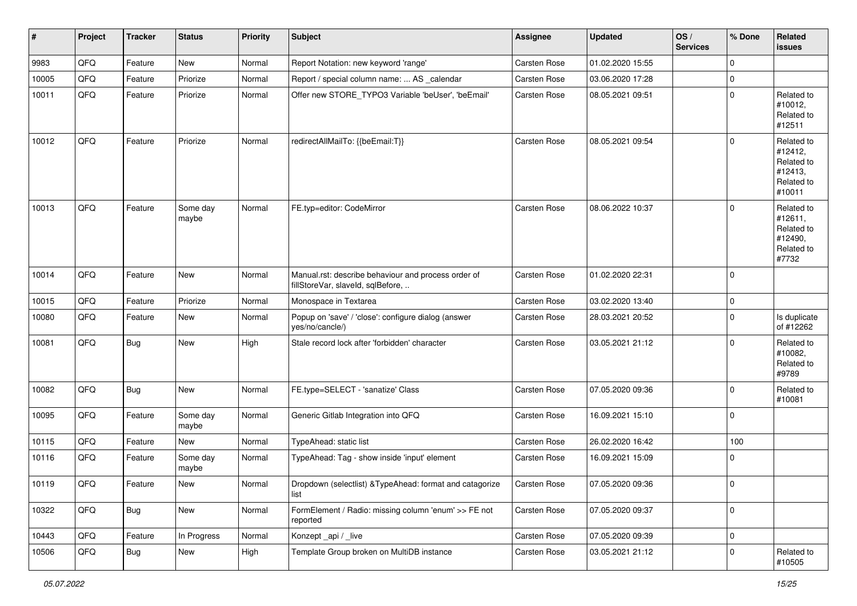| #     | Project | <b>Tracker</b> | <b>Status</b>     | <b>Priority</b> | <b>Subject</b>                                                                           | <b>Assignee</b>     | <b>Updated</b>   | OS/<br><b>Services</b> | % Done      | Related<br>issues                                                      |
|-------|---------|----------------|-------------------|-----------------|------------------------------------------------------------------------------------------|---------------------|------------------|------------------------|-------------|------------------------------------------------------------------------|
| 9983  | QFQ     | Feature        | New               | Normal          | Report Notation: new keyword 'range'                                                     | Carsten Rose        | 01.02.2020 15:55 |                        | $\mathbf 0$ |                                                                        |
| 10005 | QFQ     | Feature        | Priorize          | Normal          | Report / special column name:  AS _calendar                                              | <b>Carsten Rose</b> | 03.06.2020 17:28 |                        | $\mathbf 0$ |                                                                        |
| 10011 | QFQ     | Feature        | Priorize          | Normal          | Offer new STORE TYPO3 Variable 'beUser', 'beEmail'                                       | Carsten Rose        | 08.05.2021 09:51 |                        | $\mathbf 0$ | Related to<br>#10012,<br>Related to<br>#12511                          |
| 10012 | QFQ     | Feature        | Priorize          | Normal          | redirectAllMailTo: {{beEmail:T}}                                                         | Carsten Rose        | 08.05.2021 09:54 |                        | $\mathbf 0$ | Related to<br>#12412,<br>Related to<br>#12413,<br>Related to<br>#10011 |
| 10013 | QFQ     | Feature        | Some day<br>maybe | Normal          | FE.typ=editor: CodeMirror                                                                | Carsten Rose        | 08.06.2022 10:37 |                        | $\mathbf 0$ | Related to<br>#12611,<br>Related to<br>#12490,<br>Related to<br>#7732  |
| 10014 | QFQ     | Feature        | New               | Normal          | Manual.rst: describe behaviour and process order of<br>fillStoreVar, slaveId, sqlBefore, | Carsten Rose        | 01.02.2020 22:31 |                        | $\mathbf 0$ |                                                                        |
| 10015 | QFQ     | Feature        | Priorize          | Normal          | Monospace in Textarea                                                                    | <b>Carsten Rose</b> | 03.02.2020 13:40 |                        | $\mathbf 0$ |                                                                        |
| 10080 | QFQ     | Feature        | <b>New</b>        | Normal          | Popup on 'save' / 'close': configure dialog (answer<br>yes/no/cancle/)                   | Carsten Rose        | 28.03.2021 20:52 |                        | $\mathbf 0$ | Is duplicate<br>of #12262                                              |
| 10081 | QFQ     | <b>Bug</b>     | New               | High            | Stale record lock after 'forbidden' character                                            | <b>Carsten Rose</b> | 03.05.2021 21:12 |                        | $\Omega$    | Related to<br>#10082.<br>Related to<br>#9789                           |
| 10082 | QFQ     | <b>Bug</b>     | New               | Normal          | FE.type=SELECT - 'sanatize' Class                                                        | <b>Carsten Rose</b> | 07.05.2020 09:36 |                        | $\mathbf 0$ | Related to<br>#10081                                                   |
| 10095 | QFQ     | Feature        | Some day<br>maybe | Normal          | Generic Gitlab Integration into QFQ                                                      | Carsten Rose        | 16.09.2021 15:10 |                        | $\mathbf 0$ |                                                                        |
| 10115 | QFQ     | Feature        | <b>New</b>        | Normal          | TypeAhead: static list                                                                   | <b>Carsten Rose</b> | 26.02.2020 16:42 |                        | 100         |                                                                        |
| 10116 | QFQ     | Feature        | Some day<br>maybe | Normal          | TypeAhead: Tag - show inside 'input' element                                             | Carsten Rose        | 16.09.2021 15:09 |                        | $\mathbf 0$ |                                                                        |
| 10119 | QFG     | Feature        | New               | Normal          | Dropdown (selectlist) & TypeAhead: format and catagorize<br>list                         | <b>Carsten Rose</b> | 07.05.2020 09:36 |                        | $\mathbf 0$ |                                                                        |
| 10322 | QFQ     | Bug            | New               | Normal          | FormElement / Radio: missing column 'enum' >> FE not<br>reported                         | Carsten Rose        | 07.05.2020 09:37 |                        | $\mathbf 0$ |                                                                        |
| 10443 | QFQ     | Feature        | In Progress       | Normal          | Konzept_api / _live                                                                      | Carsten Rose        | 07.05.2020 09:39 |                        | $\mathbf 0$ |                                                                        |
| 10506 | QFQ     | Bug            | New               | High            | Template Group broken on MultiDB instance                                                | Carsten Rose        | 03.05.2021 21:12 |                        | $\mathbf 0$ | Related to<br>#10505                                                   |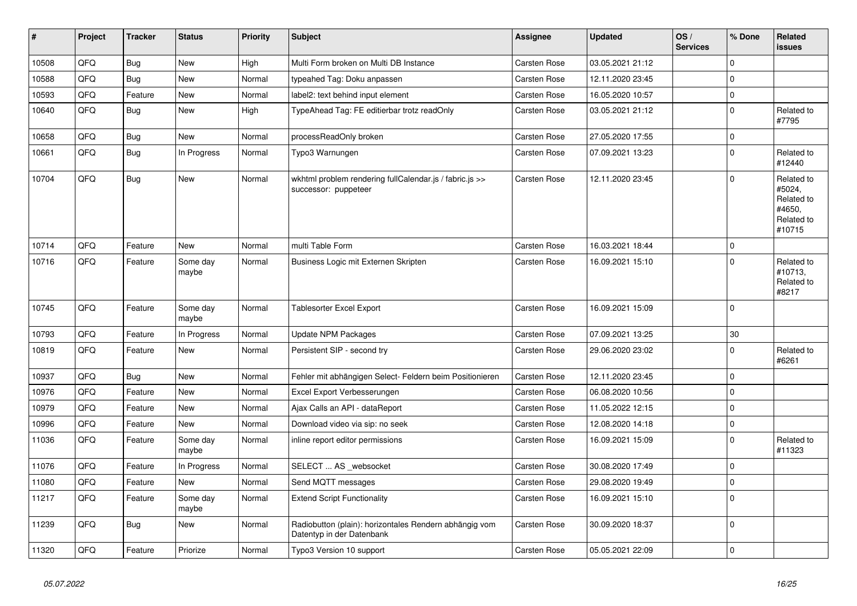| #     | Project | <b>Tracker</b> | <b>Status</b>     | <b>Priority</b> | <b>Subject</b>                                                                      | Assignee            | <b>Updated</b>   | OS/<br><b>Services</b> | % Done      | Related<br>issues                                                    |
|-------|---------|----------------|-------------------|-----------------|-------------------------------------------------------------------------------------|---------------------|------------------|------------------------|-------------|----------------------------------------------------------------------|
| 10508 | QFQ     | <b>Bug</b>     | <b>New</b>        | High            | Multi Form broken on Multi DB Instance                                              | <b>Carsten Rose</b> | 03.05.2021 21:12 |                        | $\Omega$    |                                                                      |
| 10588 | QFQ     | <b>Bug</b>     | <b>New</b>        | Normal          | typeahed Tag: Doku anpassen                                                         | <b>Carsten Rose</b> | 12.11.2020 23:45 |                        | $\mathbf 0$ |                                                                      |
| 10593 | QFQ     | Feature        | New               | Normal          | label2: text behind input element                                                   | <b>Carsten Rose</b> | 16.05.2020 10:57 |                        | $\pmb{0}$   |                                                                      |
| 10640 | QFQ     | <b>Bug</b>     | New               | High            | TypeAhead Tag: FE editierbar trotz readOnly                                         | <b>Carsten Rose</b> | 03.05.2021 21:12 |                        | $\mathbf 0$ | Related to<br>#7795                                                  |
| 10658 | QFQ     | <b>Bug</b>     | New               | Normal          | processReadOnly broken                                                              | Carsten Rose        | 27.05.2020 17:55 |                        | $\mathbf 0$ |                                                                      |
| 10661 | QFQ     | <b>Bug</b>     | In Progress       | Normal          | Typo3 Warnungen                                                                     | Carsten Rose        | 07.09.2021 13:23 |                        | $\mathbf 0$ | Related to<br>#12440                                                 |
| 10704 | QFQ     | <b>Bug</b>     | New               | Normal          | wkhtml problem rendering fullCalendar.js / fabric.js >><br>successor: puppeteer     | <b>Carsten Rose</b> | 12.11.2020 23:45 |                        | $\mathbf 0$ | Related to<br>#5024,<br>Related to<br>#4650.<br>Related to<br>#10715 |
| 10714 | QFQ     | Feature        | <b>New</b>        | Normal          | multi Table Form                                                                    | Carsten Rose        | 16.03.2021 18:44 |                        | $\mathbf 0$ |                                                                      |
| 10716 | QFQ     | Feature        | Some day<br>maybe | Normal          | Business Logic mit Externen Skripten                                                | Carsten Rose        | 16.09.2021 15:10 |                        | $\mathbf 0$ | Related to<br>#10713,<br>Related to<br>#8217                         |
| 10745 | QFQ     | Feature        | Some day<br>maybe | Normal          | <b>Tablesorter Excel Export</b>                                                     | Carsten Rose        | 16.09.2021 15:09 |                        | $\mathbf 0$ |                                                                      |
| 10793 | QFQ     | Feature        | In Progress       | Normal          | Update NPM Packages                                                                 | Carsten Rose        | 07.09.2021 13:25 |                        | 30          |                                                                      |
| 10819 | QFQ     | Feature        | <b>New</b>        | Normal          | Persistent SIP - second try                                                         | <b>Carsten Rose</b> | 29.06.2020 23:02 |                        | $\mathbf 0$ | Related to<br>#6261                                                  |
| 10937 | QFQ     | <b>Bug</b>     | <b>New</b>        | Normal          | Fehler mit abhängigen Select- Feldern beim Positionieren                            | Carsten Rose        | 12.11.2020 23:45 |                        | $\Omega$    |                                                                      |
| 10976 | QFQ     | Feature        | <b>New</b>        | Normal          | Excel Export Verbesserungen                                                         | Carsten Rose        | 06.08.2020 10:56 |                        | $\mathbf 0$ |                                                                      |
| 10979 | QFQ     | Feature        | <b>New</b>        | Normal          | Ajax Calls an API - dataReport                                                      | Carsten Rose        | 11.05.2022 12:15 |                        | $\mathbf 0$ |                                                                      |
| 10996 | QFQ     | Feature        | <b>New</b>        | Normal          | Download video via sip: no seek                                                     | Carsten Rose        | 12.08.2020 14:18 |                        | $\pmb{0}$   |                                                                      |
| 11036 | QFQ     | Feature        | Some day<br>maybe | Normal          | inline report editor permissions                                                    | Carsten Rose        | 16.09.2021 15:09 |                        | $\Omega$    | Related to<br>#11323                                                 |
| 11076 | QFQ     | Feature        | In Progress       | Normal          | SELECT  AS _websocket                                                               | <b>Carsten Rose</b> | 30.08.2020 17:49 |                        | $\mathbf 0$ |                                                                      |
| 11080 | QFQ     | Feature        | <b>New</b>        | Normal          | Send MQTT messages                                                                  | Carsten Rose        | 29.08.2020 19:49 |                        | $\mathbf 0$ |                                                                      |
| 11217 | QFQ     | Feature        | Some day<br>maybe | Normal          | <b>Extend Script Functionality</b>                                                  | Carsten Rose        | 16.09.2021 15:10 |                        | $\mathbf 0$ |                                                                      |
| 11239 | QFQ     | Bug            | New               | Normal          | Radiobutton (plain): horizontales Rendern abhängig vom<br>Datentyp in der Datenbank | Carsten Rose        | 30.09.2020 18:37 |                        | $\mathbf 0$ |                                                                      |
| 11320 | QFQ     | Feature        | Priorize          | Normal          | Typo3 Version 10 support                                                            | Carsten Rose        | 05.05.2021 22:09 |                        | $\mathbf 0$ |                                                                      |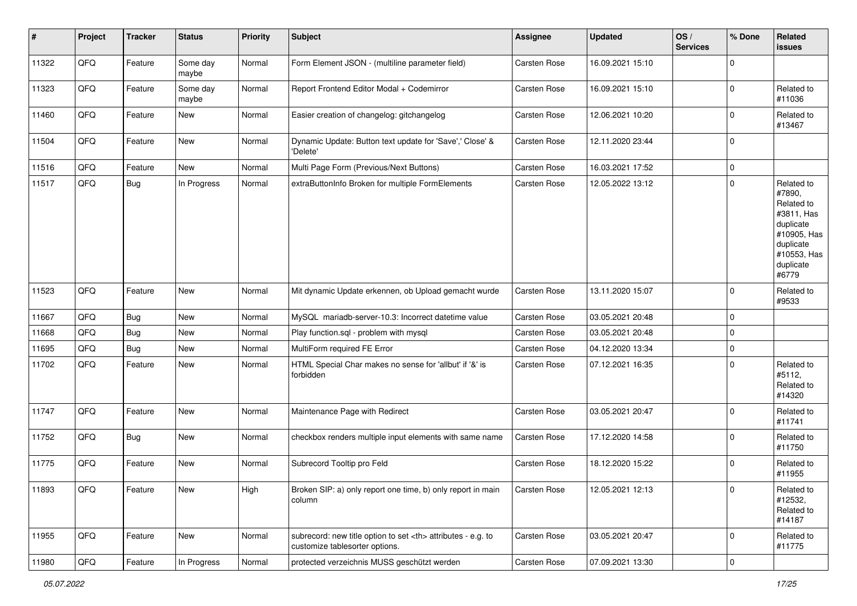| $\vert$ # | Project | <b>Tracker</b> | <b>Status</b>     | <b>Priority</b> | <b>Subject</b>                                                                                       | <b>Assignee</b>                                        | <b>Updated</b>   | OS/<br><b>Services</b> | % Done      | Related<br><b>issues</b>                                                                                                       |                      |
|-----------|---------|----------------|-------------------|-----------------|------------------------------------------------------------------------------------------------------|--------------------------------------------------------|------------------|------------------------|-------------|--------------------------------------------------------------------------------------------------------------------------------|----------------------|
| 11322     | QFQ     | Feature        | Some day<br>maybe | Normal          | Form Element JSON - (multiline parameter field)                                                      | Carsten Rose                                           | 16.09.2021 15:10 |                        | $\mathbf 0$ |                                                                                                                                |                      |
| 11323     | QFQ     | Feature        | Some day<br>maybe | Normal          | Report Frontend Editor Modal + Codemirror                                                            | <b>Carsten Rose</b>                                    | 16.09.2021 15:10 |                        | $\mathbf 0$ | Related to<br>#11036                                                                                                           |                      |
| 11460     | QFQ     | Feature        | New               | Normal          | Easier creation of changelog: gitchangelog                                                           | Carsten Rose                                           | 12.06.2021 10:20 |                        | 0           | Related to<br>#13467                                                                                                           |                      |
| 11504     | QFQ     | Feature        | <b>New</b>        | Normal          | Dynamic Update: Button text update for 'Save',' Close' &<br>'Delete'                                 | Carsten Rose                                           | 12.11.2020 23:44 |                        | $\mathbf 0$ |                                                                                                                                |                      |
| 11516     | QFQ     | Feature        | <b>New</b>        | Normal          | Multi Page Form (Previous/Next Buttons)                                                              | Carsten Rose                                           | 16.03.2021 17:52 |                        | $\mathbf 0$ |                                                                                                                                |                      |
| 11517     | QFQ     | <b>Bug</b>     | In Progress       | Normal          | extraButtonInfo Broken for multiple FormElements                                                     | Carsten Rose                                           | 12.05.2022 13:12 |                        | $\mathbf 0$ | Related to<br>#7890,<br>Related to<br>#3811, Has<br>duplicate<br>#10905, Has<br>duplicate<br>#10553, Has<br>duplicate<br>#6779 |                      |
| 11523     | QFQ     | Feature        | New               | Normal          | Mit dynamic Update erkennen, ob Upload gemacht wurde                                                 | Carsten Rose                                           | 13.11.2020 15:07 |                        | $\mathbf 0$ | Related to<br>#9533                                                                                                            |                      |
| 11667     | QFQ     | Bug            | New               | Normal          | MySQL mariadb-server-10.3: Incorrect datetime value                                                  | Carsten Rose                                           | 03.05.2021 20:48 |                        | $\mathbf 0$ |                                                                                                                                |                      |
| 11668     | QFQ     | <b>Bug</b>     | New               | Normal          | Play function.sql - problem with mysql                                                               | Carsten Rose                                           | 03.05.2021 20:48 |                        | $\mathbf 0$ |                                                                                                                                |                      |
| 11695     | QFQ     | Bug            | <b>New</b>        | Normal          | MultiForm required FE Error                                                                          | Carsten Rose                                           | 04.12.2020 13:34 |                        | $\mathbf 0$ |                                                                                                                                |                      |
| 11702     | QFQ     | Feature        | New               | Normal          | HTML Special Char makes no sense for 'allbut' if '&' is<br>forbidden                                 | Carsten Rose                                           | 07.12.2021 16:35 |                        | 0           | Related to<br>#5112,<br>Related to<br>#14320                                                                                   |                      |
| 11747     | QFQ     | Feature        | <b>New</b>        | Normal          | Maintenance Page with Redirect                                                                       | <b>Carsten Rose</b>                                    | 03.05.2021 20:47 |                        | $\mathbf 0$ | Related to<br>#11741                                                                                                           |                      |
| 11752     | QFQ     | <b>Bug</b>     | <b>New</b>        | Normal          | checkbox renders multiple input elements with same name                                              | Carsten Rose                                           | 17.12.2020 14:58 |                        | $\mathbf 0$ | Related to<br>#11750                                                                                                           |                      |
| 11775     | QFQ     | Feature        | <b>New</b>        | Normal          | Subrecord Tooltip pro Feld                                                                           | Carsten Rose                                           | 18.12.2020 15:22 |                        | 0           | Related to<br>#11955                                                                                                           |                      |
| 11893     | QFQ     | Feature        | New               | High            | Broken SIP: a) only report one time, b) only report in main<br>column                                | Carsten Rose                                           | 12.05.2021 12:13 |                        | 0           | Related to<br>#12532,<br>Related to<br>#14187                                                                                  |                      |
| 11955     | QFQ     | Feature        | New               | Normal          | subrecord: new title option to set <th> attributes - e.g. to<br/>customize tablesorter options.</th> | attributes - e.g. to<br>customize tablesorter options. | Carsten Rose     | 03.05.2021 20:47       |             | 0                                                                                                                              | Related to<br>#11775 |
| 11980     | QFG     | Feature        | In Progress       | Normal          | protected verzeichnis MUSS geschützt werden                                                          | Carsten Rose                                           | 07.09.2021 13:30 |                        | $\pmb{0}$   |                                                                                                                                |                      |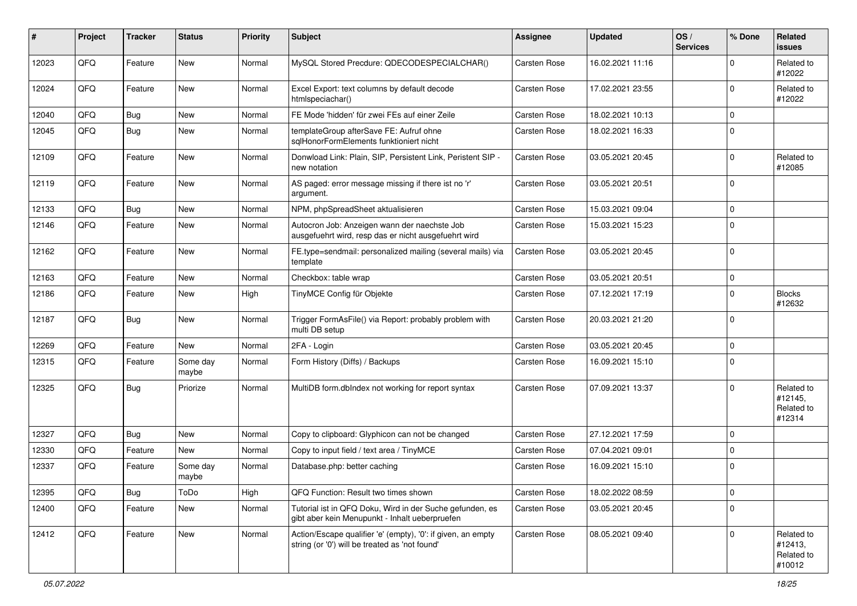| #     | Project | <b>Tracker</b> | <b>Status</b>     | <b>Priority</b> | Subject                                                                                                        | <b>Assignee</b>     | <b>Updated</b>   | OS/<br><b>Services</b> | % Done      | Related<br>issues                             |
|-------|---------|----------------|-------------------|-----------------|----------------------------------------------------------------------------------------------------------------|---------------------|------------------|------------------------|-------------|-----------------------------------------------|
| 12023 | QFQ     | Feature        | New               | Normal          | MySQL Stored Precdure: QDECODESPECIALCHAR()                                                                    | Carsten Rose        | 16.02.2021 11:16 |                        | $\mathbf 0$ | Related to<br>#12022                          |
| 12024 | QFQ     | Feature        | New               | Normal          | Excel Export: text columns by default decode<br>htmlspeciachar()                                               | Carsten Rose        | 17.02.2021 23:55 |                        | $\mathbf 0$ | Related to<br>#12022                          |
| 12040 | QFQ     | Bug            | New               | Normal          | FE Mode 'hidden' für zwei FEs auf einer Zeile                                                                  | Carsten Rose        | 18.02.2021 10:13 |                        | $\mathbf 0$ |                                               |
| 12045 | QFQ     | Bug            | <b>New</b>        | Normal          | templateGroup afterSave FE: Aufruf ohne<br>sqlHonorFormElements funktioniert nicht                             | Carsten Rose        | 18.02.2021 16:33 |                        | $\mathbf 0$ |                                               |
| 12109 | QFQ     | Feature        | New               | Normal          | Donwload Link: Plain, SIP, Persistent Link, Peristent SIP -<br>new notation                                    | Carsten Rose        | 03.05.2021 20:45 |                        | $\mathbf 0$ | Related to<br>#12085                          |
| 12119 | QFQ     | Feature        | New               | Normal          | AS paged: error message missing if there ist no 'r'<br>argument.                                               | Carsten Rose        | 03.05.2021 20:51 |                        | $\mathbf 0$ |                                               |
| 12133 | QFQ     | Bug            | New               | Normal          | NPM, phpSpreadSheet aktualisieren                                                                              | <b>Carsten Rose</b> | 15.03.2021 09:04 |                        | $\mathbf 0$ |                                               |
| 12146 | QFQ     | Feature        | New               | Normal          | Autocron Job: Anzeigen wann der naechste Job<br>ausgefuehrt wird, resp das er nicht ausgefuehrt wird           | <b>Carsten Rose</b> | 15.03.2021 15:23 |                        | $\mathbf 0$ |                                               |
| 12162 | QFQ     | Feature        | New               | Normal          | FE.type=sendmail: personalized mailing (several mails) via<br>template                                         | Carsten Rose        | 03.05.2021 20:45 |                        | $\mathbf 0$ |                                               |
| 12163 | QFQ     | Feature        | New               | Normal          | Checkbox: table wrap                                                                                           | Carsten Rose        | 03.05.2021 20:51 |                        | $\mathbf 0$ |                                               |
| 12186 | QFQ     | Feature        | New               | High            | TinyMCE Config für Objekte                                                                                     | Carsten Rose        | 07.12.2021 17:19 |                        | $\mathbf 0$ | <b>Blocks</b><br>#12632                       |
| 12187 | QFQ     | Bug            | New               | Normal          | Trigger FormAsFile() via Report: probably problem with<br>multi DB setup                                       | Carsten Rose        | 20.03.2021 21:20 |                        | $\mathbf 0$ |                                               |
| 12269 | QFQ     | Feature        | New               | Normal          | 2FA - Login                                                                                                    | Carsten Rose        | 03.05.2021 20:45 |                        | $\mathbf 0$ |                                               |
| 12315 | QFQ     | Feature        | Some day<br>maybe | Normal          | Form History (Diffs) / Backups                                                                                 | Carsten Rose        | 16.09.2021 15:10 |                        | $\mathbf 0$ |                                               |
| 12325 | QFQ     | Bug            | Priorize          | Normal          | MultiDB form.dblndex not working for report syntax                                                             | Carsten Rose        | 07.09.2021 13:37 |                        | $\mathbf 0$ | Related to<br>#12145,<br>Related to<br>#12314 |
| 12327 | QFQ     | Bug            | <b>New</b>        | Normal          | Copy to clipboard: Glyphicon can not be changed                                                                | Carsten Rose        | 27.12.2021 17:59 |                        | $\mathbf 0$ |                                               |
| 12330 | QFQ     | Feature        | New               | Normal          | Copy to input field / text area / TinyMCE                                                                      | <b>Carsten Rose</b> | 07.04.2021 09:01 |                        | $\mathbf 0$ |                                               |
| 12337 | QFQ     | Feature        | Some day<br>maybe | Normal          | Database.php: better caching                                                                                   | Carsten Rose        | 16.09.2021 15:10 |                        | $\mathbf 0$ |                                               |
| 12395 | QFQ     | <b>Bug</b>     | ToDo              | High            | QFQ Function: Result two times shown                                                                           | Carsten Rose        | 18.02.2022 08:59 |                        | $\mathbf 0$ |                                               |
| 12400 | QFQ     | Feature        | New               | Normal          | Tutorial ist in QFQ Doku, Wird in der Suche gefunden, es<br>gibt aber kein Menupunkt - Inhalt ueberpruefen     | Carsten Rose        | 03.05.2021 20:45 |                        | $\mathbf 0$ |                                               |
| 12412 | QFQ     | Feature        | New               | Normal          | Action/Escape qualifier 'e' (empty), '0': if given, an empty<br>string (or '0') will be treated as 'not found' | Carsten Rose        | 08.05.2021 09:40 |                        | $\mathbf 0$ | Related to<br>#12413,<br>Related to<br>#10012 |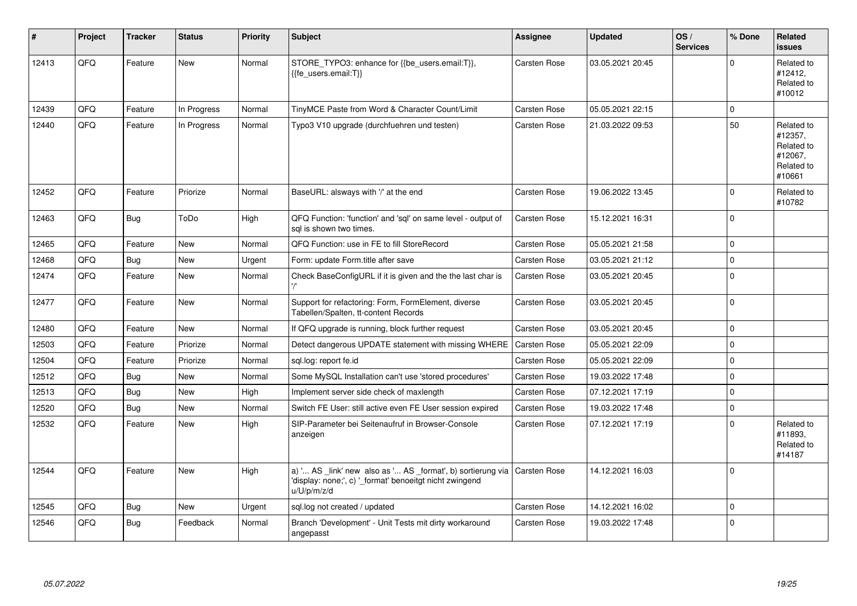| #     | <b>Project</b> | <b>Tracker</b> | <b>Status</b> | <b>Priority</b> | <b>Subject</b>                                                                                                                        | <b>Assignee</b>     | <b>Updated</b>   | OS/<br><b>Services</b> | % Done      | Related<br><b>issues</b>                                               |
|-------|----------------|----------------|---------------|-----------------|---------------------------------------------------------------------------------------------------------------------------------------|---------------------|------------------|------------------------|-------------|------------------------------------------------------------------------|
| 12413 | QFQ            | Feature        | New           | Normal          | STORE_TYPO3: enhance for {{be_users.email:T}},<br>{{fe users.email:T}}                                                                | <b>Carsten Rose</b> | 03.05.2021 20:45 |                        | $\mathbf 0$ | Related to<br>#12412,<br>Related to<br>#10012                          |
| 12439 | QFQ            | Feature        | In Progress   | Normal          | TinyMCE Paste from Word & Character Count/Limit                                                                                       | <b>Carsten Rose</b> | 05.05.2021 22:15 |                        | $\mathbf 0$ |                                                                        |
| 12440 | QFQ            | Feature        | In Progress   | Normal          | Typo3 V10 upgrade (durchfuehren und testen)                                                                                           | <b>Carsten Rose</b> | 21.03.2022 09:53 |                        | 50          | Related to<br>#12357.<br>Related to<br>#12067,<br>Related to<br>#10661 |
| 12452 | QFQ            | Feature        | Priorize      | Normal          | BaseURL: alsways with '/' at the end                                                                                                  | <b>Carsten Rose</b> | 19.06.2022 13:45 |                        | $\Omega$    | Related to<br>#10782                                                   |
| 12463 | QFQ            | Bug            | ToDo          | High            | QFQ Function: 'function' and 'sql' on same level - output of<br>sal is shown two times.                                               | Carsten Rose        | 15.12.2021 16:31 |                        | $\mathbf 0$ |                                                                        |
| 12465 | QFQ            | Feature        | New           | Normal          | QFQ Function: use in FE to fill StoreRecord                                                                                           | <b>Carsten Rose</b> | 05.05.2021 21:58 |                        | $\pmb{0}$   |                                                                        |
| 12468 | QFQ            | Bug            | <b>New</b>    | Urgent          | Form: update Form.title after save                                                                                                    | <b>Carsten Rose</b> | 03.05.2021 21:12 |                        | $\mathbf 0$ |                                                                        |
| 12474 | QFQ            | Feature        | <b>New</b>    | Normal          | Check BaseConfigURL if it is given and the the last char is                                                                           | <b>Carsten Rose</b> | 03.05.2021 20:45 |                        | $\mathbf 0$ |                                                                        |
| 12477 | QFQ            | Feature        | <b>New</b>    | Normal          | Support for refactoring: Form, FormElement, diverse<br>Tabellen/Spalten, tt-content Records                                           | <b>Carsten Rose</b> | 03.05.2021 20:45 |                        | $\Omega$    |                                                                        |
| 12480 | QFQ            | Feature        | <b>New</b>    | Normal          | If QFQ upgrade is running, block further request                                                                                      | <b>Carsten Rose</b> | 03.05.2021 20:45 |                        | $\mathbf 0$ |                                                                        |
| 12503 | QFQ            | Feature        | Priorize      | Normal          | Detect dangerous UPDATE statement with missing WHERE                                                                                  | <b>Carsten Rose</b> | 05.05.2021 22:09 |                        | $\pmb{0}$   |                                                                        |
| 12504 | QFQ            | Feature        | Priorize      | Normal          | sgl.log: report fe.id                                                                                                                 | Carsten Rose        | 05.05.2021 22:09 |                        | $\mathbf 0$ |                                                                        |
| 12512 | QFQ            | Bug            | <b>New</b>    | Normal          | Some MySQL Installation can't use 'stored procedures'                                                                                 | <b>Carsten Rose</b> | 19.03.2022 17:48 |                        | $\mathbf 0$ |                                                                        |
| 12513 | QFQ            | Bug            | <b>New</b>    | High            | Implement server side check of maxlength                                                                                              | Carsten Rose        | 07.12.2021 17:19 |                        | $\pmb{0}$   |                                                                        |
| 12520 | QFQ            | Bug            | <b>New</b>    | Normal          | Switch FE User: still active even FE User session expired                                                                             | <b>Carsten Rose</b> | 19.03.2022 17:48 |                        | $\mathbf 0$ |                                                                        |
| 12532 | QFQ            | Feature        | <b>New</b>    | High            | SIP-Parameter bei Seitenaufruf in Browser-Console<br>anzeigen                                                                         | <b>Carsten Rose</b> | 07.12.2021 17:19 |                        | $\Omega$    | Related to<br>#11893,<br>Related to<br>#14187                          |
| 12544 | QFQ            | Feature        | <b>New</b>    | High            | a) ' AS _link' new also as ' AS _format', b) sortierung via<br>'display: none;', c) '_format' benoeitgt nicht zwingend<br>u/U/p/m/z/d | Carsten Rose        | 14.12.2021 16:03 |                        | $\Omega$    |                                                                        |
| 12545 | QFQ            | <b>Bug</b>     | <b>New</b>    | Urgent          | sql.log not created / updated                                                                                                         | <b>Carsten Rose</b> | 14.12.2021 16:02 |                        | $\mathbf 0$ |                                                                        |
| 12546 | QFQ            | <b>Bug</b>     | Feedback      | Normal          | Branch 'Development' - Unit Tests mit dirty workaround<br>angepasst                                                                   | <b>Carsten Rose</b> | 19.03.2022 17:48 |                        | $\pmb{0}$   |                                                                        |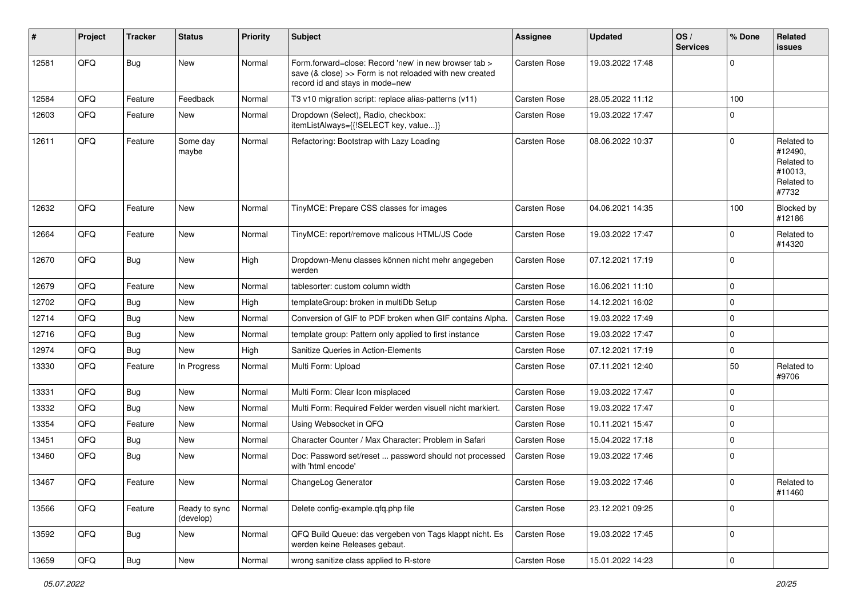| $\sharp$ | Project | <b>Tracker</b> | <b>Status</b>              | <b>Priority</b> | <b>Subject</b>                                                                                                                                      | <b>Assignee</b>     | <b>Updated</b>   | OS/<br><b>Services</b> | % Done      | Related<br>issues                                                     |
|----------|---------|----------------|----------------------------|-----------------|-----------------------------------------------------------------------------------------------------------------------------------------------------|---------------------|------------------|------------------------|-------------|-----------------------------------------------------------------------|
| 12581    | QFQ     | Bug            | <b>New</b>                 | Normal          | Form.forward=close: Record 'new' in new browser tab ><br>save (& close) >> Form is not reloaded with new created<br>record id and stays in mode=new | Carsten Rose        | 19.03.2022 17:48 |                        | $\mathbf 0$ |                                                                       |
| 12584    | QFQ     | Feature        | Feedback                   | Normal          | T3 v10 migration script: replace alias-patterns (v11)                                                                                               | <b>Carsten Rose</b> | 28.05.2022 11:12 |                        | 100         |                                                                       |
| 12603    | QFQ     | Feature        | New                        | Normal          | Dropdown (Select), Radio, checkbox:<br>itemListAlways={{!SELECT key, value}}                                                                        | Carsten Rose        | 19.03.2022 17:47 |                        | $\mathbf 0$ |                                                                       |
| 12611    | QFQ     | Feature        | Some day<br>maybe          | Normal          | Refactoring: Bootstrap with Lazy Loading                                                                                                            | Carsten Rose        | 08.06.2022 10:37 |                        | $\mathbf 0$ | Related to<br>#12490,<br>Related to<br>#10013,<br>Related to<br>#7732 |
| 12632    | QFQ     | Feature        | New                        | Normal          | TinyMCE: Prepare CSS classes for images                                                                                                             | Carsten Rose        | 04.06.2021 14:35 |                        | 100         | Blocked by<br>#12186                                                  |
| 12664    | QFQ     | Feature        | New                        | Normal          | TinyMCE: report/remove malicous HTML/JS Code                                                                                                        | Carsten Rose        | 19.03.2022 17:47 |                        | 0           | Related to<br>#14320                                                  |
| 12670    | QFQ     | Bug            | New                        | High            | Dropdown-Menu classes können nicht mehr angegeben<br>werden                                                                                         | Carsten Rose        | 07.12.2021 17:19 |                        | $\mathbf 0$ |                                                                       |
| 12679    | QFQ     | Feature        | New                        | Normal          | tablesorter: custom column width                                                                                                                    | Carsten Rose        | 16.06.2021 11:10 |                        | $\mathbf 0$ |                                                                       |
| 12702    | QFQ     | <b>Bug</b>     | <b>New</b>                 | High            | templateGroup: broken in multiDb Setup                                                                                                              | Carsten Rose        | 14.12.2021 16:02 |                        | $\mathbf 0$ |                                                                       |
| 12714    | QFQ     | Bug            | New                        | Normal          | Conversion of GIF to PDF broken when GIF contains Alpha.                                                                                            | <b>Carsten Rose</b> | 19.03.2022 17:49 |                        | $\mathbf 0$ |                                                                       |
| 12716    | QFQ     | <b>Bug</b>     | New                        | Normal          | template group: Pattern only applied to first instance                                                                                              | Carsten Rose        | 19.03.2022 17:47 |                        | $\mathbf 0$ |                                                                       |
| 12974    | QFQ     | <b>Bug</b>     | New                        | High            | Sanitize Queries in Action-Elements                                                                                                                 | Carsten Rose        | 07.12.2021 17:19 |                        | $\mathbf 0$ |                                                                       |
| 13330    | QFQ     | Feature        | In Progress                | Normal          | Multi Form: Upload                                                                                                                                  | Carsten Rose        | 07.11.2021 12:40 |                        | 50          | Related to<br>#9706                                                   |
| 13331    | QFQ     | Bug            | <b>New</b>                 | Normal          | Multi Form: Clear Icon misplaced                                                                                                                    | Carsten Rose        | 19.03.2022 17:47 |                        | $\mathbf 0$ |                                                                       |
| 13332    | QFQ     | Bug            | New                        | Normal          | Multi Form: Required Felder werden visuell nicht markiert.                                                                                          | Carsten Rose        | 19.03.2022 17:47 |                        | $\mathbf 0$ |                                                                       |
| 13354    | QFQ     | Feature        | <b>New</b>                 | Normal          | Using Websocket in QFQ                                                                                                                              | <b>Carsten Rose</b> | 10.11.2021 15:47 |                        | $\mathbf 0$ |                                                                       |
| 13451    | QFQ     | Bug            | New                        | Normal          | Character Counter / Max Character: Problem in Safari                                                                                                | Carsten Rose        | 15.04.2022 17:18 |                        | $\mathbf 0$ |                                                                       |
| 13460    | QFQ     | <b>Bug</b>     | <b>New</b>                 | Normal          | Doc: Password set/reset  password should not processed<br>with 'html encode'                                                                        | Carsten Rose        | 19.03.2022 17:46 |                        | $\mathbf 0$ |                                                                       |
| 13467    | QFQ     | Feature        | New                        | Normal          | ChangeLog Generator                                                                                                                                 | Carsten Rose        | 19.03.2022 17:46 |                        | $\pmb{0}$   | Related to<br>#11460                                                  |
| 13566    | QFQ     | Feature        | Ready to sync<br>(develop) | Normal          | Delete config-example.qfq.php file                                                                                                                  | Carsten Rose        | 23.12.2021 09:25 |                        | $\pmb{0}$   |                                                                       |
| 13592    | QFQ     | Bug            | New                        | Normal          | QFQ Build Queue: das vergeben von Tags klappt nicht. Es<br>werden keine Releases gebaut.                                                            | Carsten Rose        | 19.03.2022 17:45 |                        | $\mathbf 0$ |                                                                       |
| 13659    | QFQ     | Bug            | New                        | Normal          | wrong sanitize class applied to R-store                                                                                                             | Carsten Rose        | 15.01.2022 14:23 |                        | $\pmb{0}$   |                                                                       |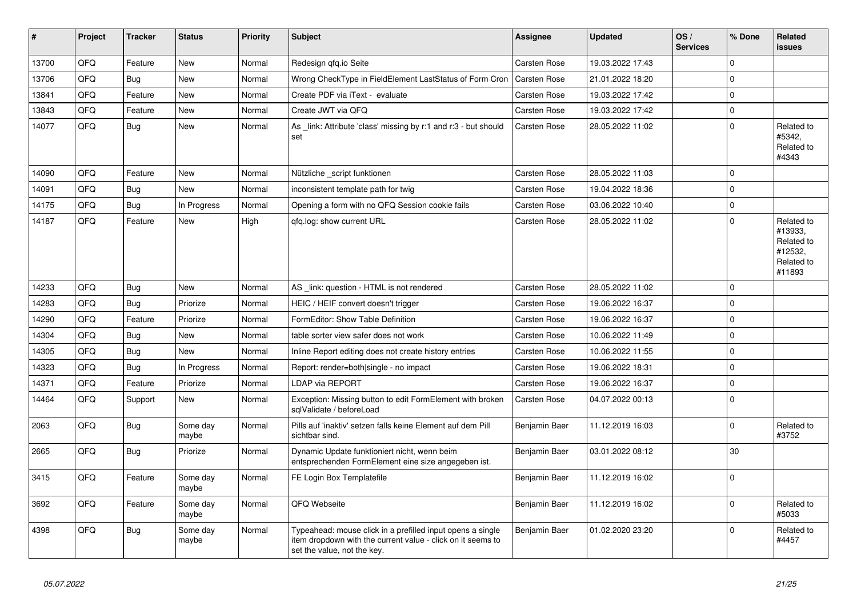| #     | Project | <b>Tracker</b> | <b>Status</b>     | <b>Priority</b> | <b>Subject</b>                                                                                                                                           | Assignee            | Updated          | OS/<br><b>Services</b> | % Done      | Related<br>issues                                                      |
|-------|---------|----------------|-------------------|-----------------|----------------------------------------------------------------------------------------------------------------------------------------------------------|---------------------|------------------|------------------------|-------------|------------------------------------------------------------------------|
| 13700 | QFQ     | Feature        | <b>New</b>        | Normal          | Redesign qfq.io Seite                                                                                                                                    | <b>Carsten Rose</b> | 19.03.2022 17:43 |                        | $\Omega$    |                                                                        |
| 13706 | QFQ     | Bug            | <b>New</b>        | Normal          | Wrong CheckType in FieldElement LastStatus of Form Cron                                                                                                  | <b>Carsten Rose</b> | 21.01.2022 18:20 |                        | $\mathbf 0$ |                                                                        |
| 13841 | QFQ     | Feature        | <b>New</b>        | Normal          | Create PDF via iText - evaluate                                                                                                                          | Carsten Rose        | 19.03.2022 17:42 |                        | $\mathbf 0$ |                                                                        |
| 13843 | QFQ     | Feature        | <b>New</b>        | Normal          | Create JWT via QFQ                                                                                                                                       | <b>Carsten Rose</b> | 19.03.2022 17:42 |                        | $\mathbf 0$ |                                                                        |
| 14077 | QFQ     | <b>Bug</b>     | New               | Normal          | As _link: Attribute 'class' missing by r:1 and r:3 - but should<br>set                                                                                   | Carsten Rose        | 28.05.2022 11:02 |                        | $\Omega$    | Related to<br>#5342.<br>Related to<br>#4343                            |
| 14090 | QFQ     | Feature        | <b>New</b>        | Normal          | Nützliche _script funktionen                                                                                                                             | <b>Carsten Rose</b> | 28.05.2022 11:03 |                        | $\mathbf 0$ |                                                                        |
| 14091 | QFQ     | <b>Bug</b>     | <b>New</b>        | Normal          | inconsistent template path for twig                                                                                                                      | Carsten Rose        | 19.04.2022 18:36 |                        | $\Omega$    |                                                                        |
| 14175 | QFQ     | Bug            | In Progress       | Normal          | Opening a form with no QFQ Session cookie fails                                                                                                          | <b>Carsten Rose</b> | 03.06.2022 10:40 |                        | $\mathbf 0$ |                                                                        |
| 14187 | QFQ     | Feature        | New               | High            | gfg.log: show current URL                                                                                                                                | Carsten Rose        | 28.05.2022 11:02 |                        | $\Omega$    | Related to<br>#13933,<br>Related to<br>#12532,<br>Related to<br>#11893 |
| 14233 | QFQ     | <b>Bug</b>     | <b>New</b>        | Normal          | AS _link: question - HTML is not rendered                                                                                                                | <b>Carsten Rose</b> | 28.05.2022 11:02 |                        | $\mathbf 0$ |                                                                        |
| 14283 | QFQ     | <b>Bug</b>     | Priorize          | Normal          | HEIC / HEIF convert doesn't trigger                                                                                                                      | Carsten Rose        | 19.06.2022 16:37 |                        | $\Omega$    |                                                                        |
| 14290 | QFQ     | Feature        | Priorize          | Normal          | FormEditor: Show Table Definition                                                                                                                        | Carsten Rose        | 19.06.2022 16:37 |                        | $\mathbf 0$ |                                                                        |
| 14304 | QFQ     | <b>Bug</b>     | <b>New</b>        | Normal          | table sorter view safer does not work                                                                                                                    | <b>Carsten Rose</b> | 10.06.2022 11:49 |                        | $\mathbf 0$ |                                                                        |
| 14305 | QFQ     | Bug            | <b>New</b>        | Normal          | Inline Report editing does not create history entries                                                                                                    | Carsten Rose        | 10.06.2022 11:55 |                        | $\mathbf 0$ |                                                                        |
| 14323 | QFQ     | <b>Bug</b>     | In Progress       | Normal          | Report: render=both single - no impact                                                                                                                   | Carsten Rose        | 19.06.2022 18:31 |                        | $\pmb{0}$   |                                                                        |
| 14371 | QFQ     | Feature        | Priorize          | Normal          | <b>LDAP via REPORT</b>                                                                                                                                   | Carsten Rose        | 19.06.2022 16:37 |                        | $\mathbf 0$ |                                                                        |
| 14464 | QFQ     | Support        | New               | Normal          | Exception: Missing button to edit FormElement with broken<br>sglValidate / beforeLoad                                                                    | <b>Carsten Rose</b> | 04.07.2022 00:13 |                        | $\mathbf 0$ |                                                                        |
| 2063  | QFQ     | <b>Bug</b>     | Some day<br>maybe | Normal          | Pills auf 'inaktiv' setzen falls keine Element auf dem Pill<br>sichtbar sind.                                                                            | Benjamin Baer       | 11.12.2019 16:03 |                        | $\Omega$    | Related to<br>#3752                                                    |
| 2665  | QFQ     | <b>Bug</b>     | Priorize          | Normal          | Dynamic Update funktioniert nicht, wenn beim<br>entsprechenden FormElement eine size angegeben ist.                                                      | Benjamin Baer       | 03.01.2022 08:12 |                        | 30          |                                                                        |
| 3415  | QFQ     | Feature        | Some day<br>maybe | Normal          | FE Login Box Templatefile                                                                                                                                | Benjamin Baer       | 11.12.2019 16:02 |                        | $\pmb{0}$   |                                                                        |
| 3692  | QFQ     | Feature        | Some day<br>maybe | Normal          | QFQ Webseite                                                                                                                                             | Benjamin Baer       | 11.12.2019 16:02 |                        | $\Omega$    | Related to<br>#5033                                                    |
| 4398  | QFQ     | <b>Bug</b>     | Some day<br>maybe | Normal          | Typeahead: mouse click in a prefilled input opens a single<br>item dropdown with the current value - click on it seems to<br>set the value, not the key. | Benjamin Baer       | 01.02.2020 23:20 |                        | $\Omega$    | Related to<br>#4457                                                    |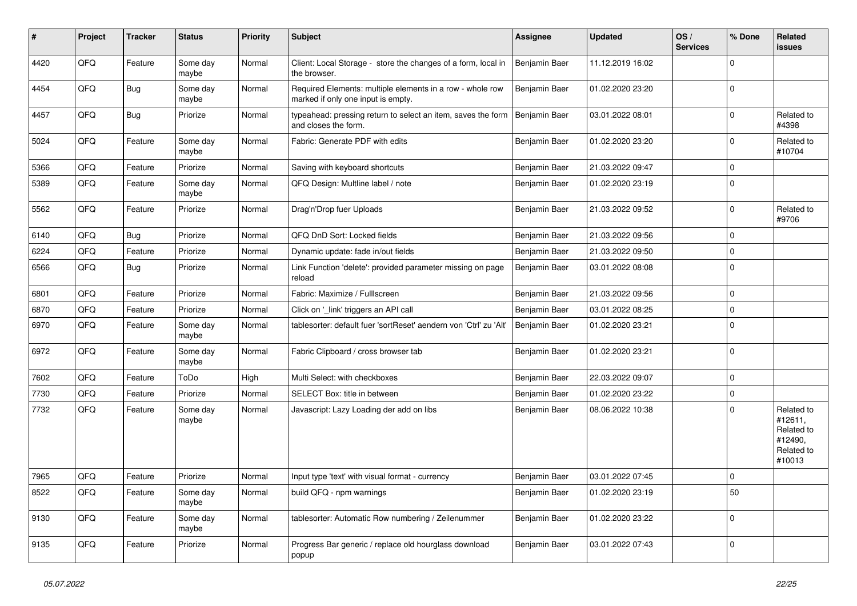| ∦    | Project | <b>Tracker</b> | <b>Status</b>     | Priority | <b>Subject</b>                                                                                  | <b>Assignee</b> | <b>Updated</b>   | OS/<br><b>Services</b> | % Done      | Related<br><b>issues</b>                                               |
|------|---------|----------------|-------------------|----------|-------------------------------------------------------------------------------------------------|-----------------|------------------|------------------------|-------------|------------------------------------------------------------------------|
| 4420 | QFQ     | Feature        | Some day<br>maybe | Normal   | Client: Local Storage - store the changes of a form, local in<br>the browser.                   | Benjamin Baer   | 11.12.2019 16:02 |                        | $\Omega$    |                                                                        |
| 4454 | QFQ     | <b>Bug</b>     | Some day<br>maybe | Normal   | Required Elements: multiple elements in a row - whole row<br>marked if only one input is empty. | Benjamin Baer   | 01.02.2020 23:20 |                        | $\mathbf 0$ |                                                                        |
| 4457 | QFQ     | <b>Bug</b>     | Priorize          | Normal   | typeahead: pressing return to select an item, saves the form<br>and closes the form.            | Benjamin Baer   | 03.01.2022 08:01 |                        | $\Omega$    | Related to<br>#4398                                                    |
| 5024 | QFQ     | Feature        | Some day<br>maybe | Normal   | Fabric: Generate PDF with edits                                                                 | Benjamin Baer   | 01.02.2020 23:20 |                        | $\Omega$    | Related to<br>#10704                                                   |
| 5366 | QFQ     | Feature        | Priorize          | Normal   | Saving with keyboard shortcuts                                                                  | Benjamin Baer   | 21.03.2022 09:47 |                        | $\mathbf 0$ |                                                                        |
| 5389 | QFQ     | Feature        | Some dav<br>maybe | Normal   | QFQ Design: Multline label / note                                                               | Benjamin Baer   | 01.02.2020 23:19 |                        | $\mathbf 0$ |                                                                        |
| 5562 | QFQ     | Feature        | Priorize          | Normal   | Drag'n'Drop fuer Uploads                                                                        | Benjamin Baer   | 21.03.2022 09:52 |                        | $\Omega$    | Related to<br>#9706                                                    |
| 6140 | QFQ     | <b>Bug</b>     | Priorize          | Normal   | QFQ DnD Sort: Locked fields                                                                     | Benjamin Baer   | 21.03.2022 09:56 |                        | $\mathbf 0$ |                                                                        |
| 6224 | QFQ     | Feature        | Priorize          | Normal   | Dynamic update: fade in/out fields                                                              | Benjamin Baer   | 21.03.2022 09:50 |                        | $\mathbf 0$ |                                                                        |
| 6566 | QFQ     | <b>Bug</b>     | Priorize          | Normal   | Link Function 'delete': provided parameter missing on page<br>reload                            | Benjamin Baer   | 03.01.2022 08:08 |                        | $\mathbf 0$ |                                                                        |
| 6801 | QFQ     | Feature        | Priorize          | Normal   | Fabric: Maximize / FullIscreen                                                                  | Benjamin Baer   | 21.03.2022 09:56 |                        | $\mathbf 0$ |                                                                        |
| 6870 | QFQ     | Feature        | Priorize          | Normal   | Click on '_link' triggers an API call                                                           | Benjamin Baer   | 03.01.2022 08:25 |                        | $\mathbf 0$ |                                                                        |
| 6970 | QFQ     | Feature        | Some day<br>maybe | Normal   | tablesorter: default fuer 'sortReset' aendern von 'Ctrl' zu 'Alt'                               | Benjamin Baer   | 01.02.2020 23:21 |                        | $\mathbf 0$ |                                                                        |
| 6972 | QFQ     | Feature        | Some day<br>maybe | Normal   | Fabric Clipboard / cross browser tab                                                            | Benjamin Baer   | 01.02.2020 23:21 |                        | $\mathbf 0$ |                                                                        |
| 7602 | QFQ     | Feature        | ToDo              | High     | Multi Select: with checkboxes                                                                   | Benjamin Baer   | 22.03.2022 09:07 |                        | $\mathbf 0$ |                                                                        |
| 7730 | QFQ     | Feature        | Priorize          | Normal   | SELECT Box: title in between                                                                    | Benjamin Baer   | 01.02.2020 23:22 |                        | $\pmb{0}$   |                                                                        |
| 7732 | QFQ     | Feature        | Some day<br>maybe | Normal   | Javascript: Lazy Loading der add on libs                                                        | Benjamin Baer   | 08.06.2022 10:38 |                        | $\mathbf 0$ | Related to<br>#12611,<br>Related to<br>#12490,<br>Related to<br>#10013 |
| 7965 | QFQ     | Feature        | Priorize          | Normal   | Input type 'text' with visual format - currency                                                 | Benjamin Baer   | 03.01.2022 07:45 |                        | $\mathbf 0$ |                                                                        |
| 8522 | QFQ     | Feature        | Some day<br>maybe | Normal   | build QFQ - npm warnings                                                                        | Benjamin Baer   | 01.02.2020 23:19 |                        | 50          |                                                                        |
| 9130 | QFQ     | Feature        | Some day<br>maybe | Normal   | tablesorter: Automatic Row numbering / Zeilenummer                                              | Benjamin Baer   | 01.02.2020 23:22 |                        | $\mathbf 0$ |                                                                        |
| 9135 | QFQ     | Feature        | Priorize          | Normal   | Progress Bar generic / replace old hourglass download<br>popup                                  | Benjamin Baer   | 03.01.2022 07:43 |                        | $\mathbf 0$ |                                                                        |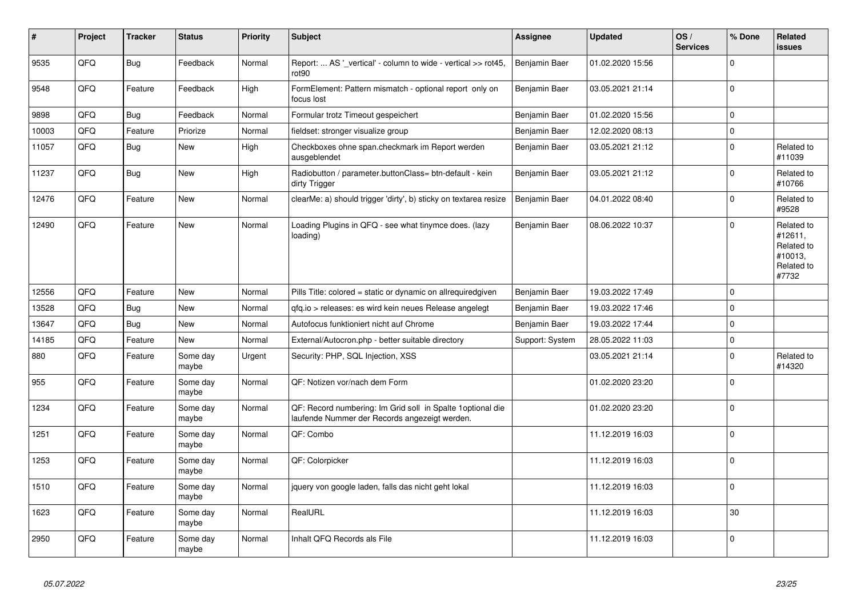| #     | <b>Project</b> | <b>Tracker</b> | <b>Status</b>     | <b>Priority</b> | <b>Subject</b>                                                                                               | Assignee        | Updated          | OS/<br><b>Services</b> | % Done      | Related<br>issues                                                     |
|-------|----------------|----------------|-------------------|-----------------|--------------------------------------------------------------------------------------------------------------|-----------------|------------------|------------------------|-------------|-----------------------------------------------------------------------|
| 9535  | QFQ            | <b>Bug</b>     | Feedback          | Normal          | Report:  AS '_vertical' - column to wide - vertical >> rot45,<br>rot <sub>90</sub>                           | Benjamin Baer   | 01.02.2020 15:56 |                        | $\Omega$    |                                                                       |
| 9548  | QFQ            | Feature        | Feedback          | High            | FormElement: Pattern mismatch - optional report only on<br>focus lost                                        | Benjamin Baer   | 03.05.2021 21:14 |                        | $\mathbf 0$ |                                                                       |
| 9898  | QFQ            | <b>Bug</b>     | Feedback          | Normal          | Formular trotz Timeout gespeichert                                                                           | Benjamin Baer   | 01.02.2020 15:56 |                        | $\mathbf 0$ |                                                                       |
| 10003 | QFQ            | Feature        | Priorize          | Normal          | fieldset: stronger visualize group                                                                           | Benjamin Baer   | 12.02.2020 08:13 |                        | $\mathbf 0$ |                                                                       |
| 11057 | QFQ            | <b>Bug</b>     | <b>New</b>        | High            | Checkboxes ohne span.checkmark im Report werden<br>ausgeblendet                                              | Benjamin Baer   | 03.05.2021 21:12 |                        | $\Omega$    | Related to<br>#11039                                                  |
| 11237 | QFQ            | <b>Bug</b>     | <b>New</b>        | High            | Radiobutton / parameter.buttonClass= btn-default - kein<br>dirty Trigger                                     | Benjamin Baer   | 03.05.2021 21:12 |                        | $\mathbf 0$ | Related to<br>#10766                                                  |
| 12476 | QFQ            | Feature        | New               | Normal          | clearMe: a) should trigger 'dirty', b) sticky on textarea resize                                             | Benjamin Baer   | 04.01.2022 08:40 |                        | $\Omega$    | Related to<br>#9528                                                   |
| 12490 | QFQ            | Feature        | <b>New</b>        | Normal          | Loading Plugins in QFQ - see what tinymce does. (lazy<br>loading)                                            | Benjamin Baer   | 08.06.2022 10:37 |                        | $\Omega$    | Related to<br>#12611,<br>Related to<br>#10013,<br>Related to<br>#7732 |
| 12556 | QFQ            | Feature        | <b>New</b>        | Normal          | Pills Title: colored = static or dynamic on allrequiredgiven                                                 | Benjamin Baer   | 19.03.2022 17:49 |                        | $\Omega$    |                                                                       |
| 13528 | QFQ            | <b>Bug</b>     | <b>New</b>        | Normal          | gfg.io > releases: es wird kein neues Release angelegt                                                       | Benjamin Baer   | 19.03.2022 17:46 |                        | $\mathbf 0$ |                                                                       |
| 13647 | QFQ            | Bug            | <b>New</b>        | Normal          | Autofocus funktioniert nicht auf Chrome                                                                      | Benjamin Baer   | 19.03.2022 17:44 |                        | $\mathbf 0$ |                                                                       |
| 14185 | QFQ            | Feature        | New               | Normal          | External/Autocron.php - better suitable directory                                                            | Support: System | 28.05.2022 11:03 |                        | $\pmb{0}$   |                                                                       |
| 880   | QFQ            | Feature        | Some day<br>maybe | Urgent          | Security: PHP, SQL Injection, XSS                                                                            |                 | 03.05.2021 21:14 |                        | $\mathbf 0$ | Related to<br>#14320                                                  |
| 955   | QFQ            | Feature        | Some day<br>maybe | Normal          | QF: Notizen vor/nach dem Form                                                                                |                 | 01.02.2020 23:20 |                        | $\mathbf 0$ |                                                                       |
| 1234  | QFQ            | Feature        | Some day<br>maybe | Normal          | QF: Record numbering: Im Grid soll in Spalte 1 optional die<br>laufende Nummer der Records angezeigt werden. |                 | 01.02.2020 23:20 |                        | $\mathbf 0$ |                                                                       |
| 1251  | QFQ            | Feature        | Some day<br>maybe | Normal          | QF: Combo                                                                                                    |                 | 11.12.2019 16:03 |                        | $\Omega$    |                                                                       |
| 1253  | QFQ            | Feature        | Some day<br>maybe | Normal          | QF: Colorpicker                                                                                              |                 | 11.12.2019 16:03 |                        | $\Omega$    |                                                                       |
| 1510  | QFQ            | Feature        | Some day<br>maybe | Normal          | jquery von google laden, falls das nicht geht lokal                                                          |                 | 11.12.2019 16:03 |                        | $\mathbf 0$ |                                                                       |
| 1623  | QFQ            | Feature        | Some day<br>maybe | Normal          | RealURL                                                                                                      |                 | 11.12.2019 16:03 |                        | 30          |                                                                       |
| 2950  | QFQ            | Feature        | Some day<br>maybe | Normal          | Inhalt QFQ Records als File                                                                                  |                 | 11.12.2019 16:03 |                        | $\mathbf 0$ |                                                                       |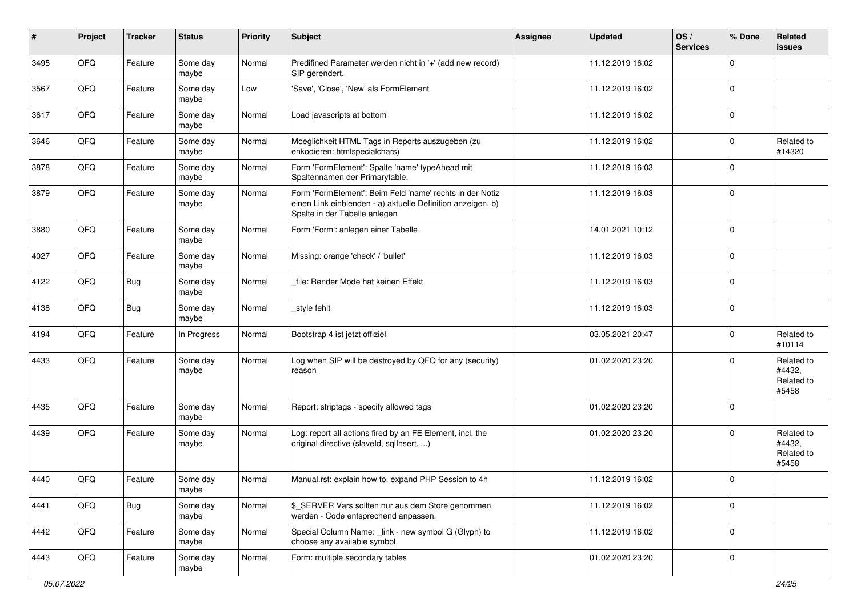| $\sharp$ | Project | <b>Tracker</b> | <b>Status</b>     | <b>Priority</b> | <b>Subject</b>                                                                                                                                           | <b>Assignee</b> | <b>Updated</b>   | OS/<br><b>Services</b> | % Done      | <b>Related</b><br><b>issues</b>             |
|----------|---------|----------------|-------------------|-----------------|----------------------------------------------------------------------------------------------------------------------------------------------------------|-----------------|------------------|------------------------|-------------|---------------------------------------------|
| 3495     | QFQ     | Feature        | Some day<br>maybe | Normal          | Predifined Parameter werden nicht in '+' (add new record)<br>SIP gerendert.                                                                              |                 | 11.12.2019 16:02 |                        | $\mathbf 0$ |                                             |
| 3567     | QFQ     | Feature        | Some day<br>maybe | Low             | 'Save', 'Close', 'New' als FormElement                                                                                                                   |                 | 11.12.2019 16:02 |                        | $\mathbf 0$ |                                             |
| 3617     | QFQ     | Feature        | Some day<br>maybe | Normal          | Load javascripts at bottom                                                                                                                               |                 | 11.12.2019 16:02 |                        | $\mathbf 0$ |                                             |
| 3646     | QFQ     | Feature        | Some day<br>maybe | Normal          | Moeglichkeit HTML Tags in Reports auszugeben (zu<br>enkodieren: htmlspecialchars)                                                                        |                 | 11.12.2019 16:02 |                        | $\mathbf 0$ | Related to<br>#14320                        |
| 3878     | QFQ     | Feature        | Some day<br>maybe | Normal          | Form 'FormElement': Spalte 'name' typeAhead mit<br>Spaltennamen der Primarytable.                                                                        |                 | 11.12.2019 16:03 |                        | $\mathbf 0$ |                                             |
| 3879     | QFQ     | Feature        | Some day<br>maybe | Normal          | Form 'FormElement': Beim Feld 'name' rechts in der Notiz<br>einen Link einblenden - a) aktuelle Definition anzeigen, b)<br>Spalte in der Tabelle anlegen |                 | 11.12.2019 16:03 |                        | $\mathbf 0$ |                                             |
| 3880     | QFQ     | Feature        | Some day<br>maybe | Normal          | Form 'Form': anlegen einer Tabelle                                                                                                                       |                 | 14.01.2021 10:12 |                        | $\mathbf 0$ |                                             |
| 4027     | QFQ     | Feature        | Some day<br>maybe | Normal          | Missing: orange 'check' / 'bullet'                                                                                                                       |                 | 11.12.2019 16:03 |                        | $\mathbf 0$ |                                             |
| 4122     | QFQ     | <b>Bug</b>     | Some day<br>maybe | Normal          | file: Render Mode hat keinen Effekt                                                                                                                      |                 | 11.12.2019 16:03 |                        | $\mathbf 0$ |                                             |
| 4138     | QFQ     | <b>Bug</b>     | Some day<br>maybe | Normal          | _style fehlt                                                                                                                                             |                 | 11.12.2019 16:03 |                        | $\mathbf 0$ |                                             |
| 4194     | QFQ     | Feature        | In Progress       | Normal          | Bootstrap 4 ist jetzt offiziel                                                                                                                           |                 | 03.05.2021 20:47 |                        | $\mathbf 0$ | Related to<br>#10114                        |
| 4433     | QFQ     | Feature        | Some day<br>maybe | Normal          | Log when SIP will be destroyed by QFQ for any (security)<br>reason                                                                                       |                 | 01.02.2020 23:20 |                        | $\Omega$    | Related to<br>#4432,<br>Related to<br>#5458 |
| 4435     | QFQ     | Feature        | Some day<br>maybe | Normal          | Report: striptags - specify allowed tags                                                                                                                 |                 | 01.02.2020 23:20 |                        | $\mathbf 0$ |                                             |
| 4439     | QFQ     | Feature        | Some day<br>maybe | Normal          | Log: report all actions fired by an FE Element, incl. the<br>original directive (slaveld, sqllnsert, )                                                   |                 | 01.02.2020 23:20 |                        | $\Omega$    | Related to<br>#4432,<br>Related to<br>#5458 |
| 4440     | QFQ     | Feature        | Some day<br>maybe | Normal          | Manual.rst: explain how to. expand PHP Session to 4h                                                                                                     |                 | 11.12.2019 16:02 |                        | $\mathbf 0$ |                                             |
| 4441     | QFQ     | <b>Bug</b>     | Some day<br>maybe | Normal          | \$_SERVER Vars sollten nur aus dem Store genommen<br>werden - Code entsprechend anpassen.                                                                |                 | 11.12.2019 16:02 |                        | $\mathbf 0$ |                                             |
| 4442     | QFQ     | Feature        | Some day<br>maybe | Normal          | Special Column Name: _link - new symbol G (Glyph) to<br>choose any available symbol                                                                      |                 | 11.12.2019 16:02 |                        | $\mathbf 0$ |                                             |
| 4443     | QFQ     | Feature        | Some day<br>maybe | Normal          | Form: multiple secondary tables                                                                                                                          |                 | 01.02.2020 23:20 |                        | $\mathbf 0$ |                                             |